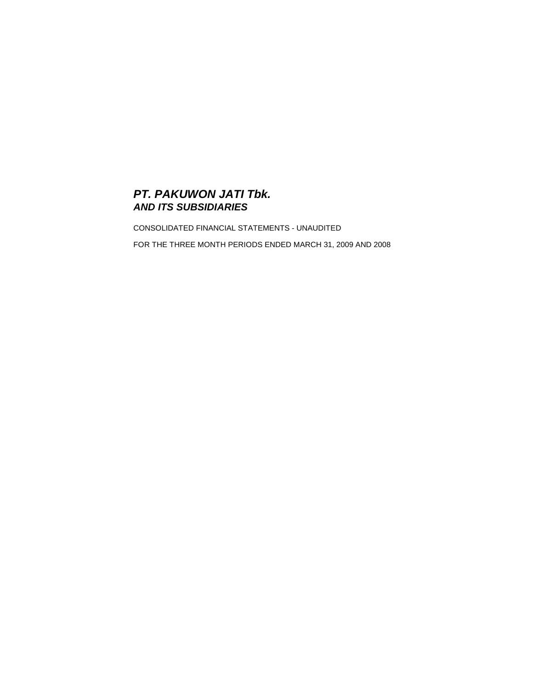# *PT. PAKUWON JATI Tbk. AND ITS SUBSIDIARIES*

CONSOLIDATED FINANCIAL STATEMENTS - UNAUDITED FOR THE THREE MONTH PERIODS ENDED MARCH 31, 2009 AND 2008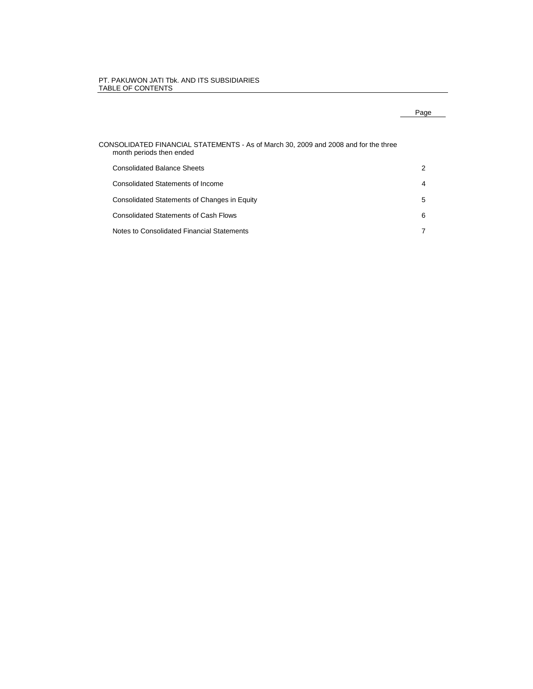#### PT. PAKUWON JATI Tbk. AND ITS SUBSIDIARIES TABLE OF CONTENTS

# Page

| CONSOLIDATED FINANCIAL STATEMENTS - As of March 30, 2009 and 2008 and for the three<br>month periods then ended |   |
|-----------------------------------------------------------------------------------------------------------------|---|
| <b>Consolidated Balance Sheets</b>                                                                              | 2 |
| Consolidated Statements of Income                                                                               | 4 |
| Consolidated Statements of Changes in Equity                                                                    | 5 |
| <b>Consolidated Statements of Cash Flows</b>                                                                    | 6 |
| Notes to Consolidated Financial Statements                                                                      | 7 |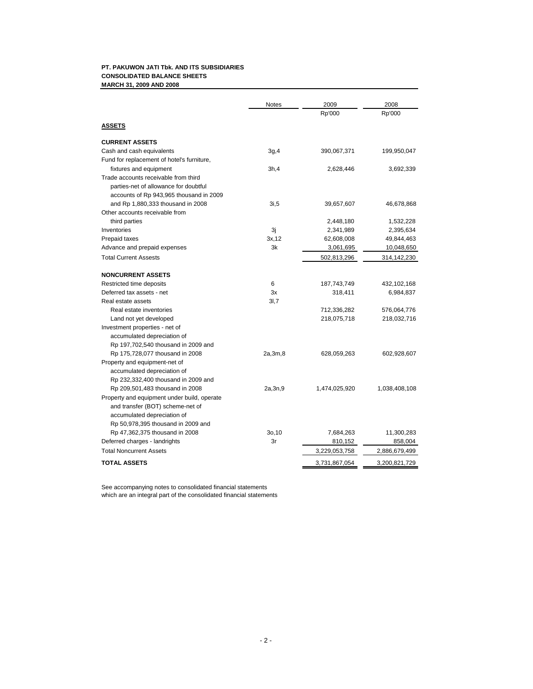## **PT. PAKUWON JATI Tbk. AND ITS SUBSIDIARIES CONSOLIDATED BALANCE SHEETS MARCH 31, 2009 AND 2008**

|                                             | <b>Notes</b> | 2009          | 2008          |
|---------------------------------------------|--------------|---------------|---------------|
|                                             |              | Rp'000        | Rp'000        |
| <u>ASSETS</u>                               |              |               |               |
| <b>CURRENT ASSETS</b>                       |              |               |               |
| Cash and cash equivalents                   | 3g,4         | 390,067,371   | 199,950,047   |
| Fund for replacement of hotel's furniture,  |              |               |               |
| fixtures and equipment                      | 3h,4         | 2,628,446     | 3,692,339     |
| Trade accounts receivable from third        |              |               |               |
| parties-net of allowance for doubtful       |              |               |               |
| accounts of Rp 943,965 thousand in 2009     |              |               |               |
| and Rp 1,880,333 thousand in 2008           | 3i, 5        | 39,657,607    | 46,678,868    |
| Other accounts receivable from              |              |               |               |
| third parties                               |              | 2,448,180     | 1,532,228     |
| Inventories                                 | Зj           | 2,341,989     | 2,395,634     |
| Prepaid taxes                               | 3x, 12       | 62,608,008    | 49,844,463    |
| Advance and prepaid expenses                | 3k           | 3,061,695     | 10,048,650    |
| <b>Total Current Assests</b>                |              | 502,813,296   | 314,142,230   |
| <b>NONCURRENT ASSETS</b>                    |              |               |               |
| Restricted time deposits                    | 6            | 187,743,749   | 432,102,168   |
| Deferred tax assets - net                   | 3x           | 318,411       | 6,984,837     |
| Real estate assets                          | 3I,7         |               |               |
| Real estate inventories                     |              | 712,336,282   | 576,064,776   |
| Land not yet developed                      |              | 218,075,718   | 218,032,716   |
| Investment properties - net of              |              |               |               |
| accumulated depreciation of                 |              |               |               |
| Rp 197,702,540 thousand in 2009 and         |              |               |               |
| Rp 175,728,077 thousand in 2008             | 2a,3m,8      | 628,059,263   | 602,928,607   |
| Property and equipment-net of               |              |               |               |
| accumulated depreciation of                 |              |               |               |
| Rp 232,332,400 thousand in 2009 and         |              |               |               |
| Rp 209,501,483 thousand in 2008             | 2a,3n,9      | 1,474,025,920 | 1,038,408,108 |
| Property and equipment under build, operate |              |               |               |
| and transfer (BOT) scheme-net of            |              |               |               |
| accumulated depreciation of                 |              |               |               |
| Rp 50,978,395 thousand in 2009 and          |              |               |               |
| Rp 47,362,375 thousand in 2008              | 30,10        | 7,684,263     | 11,300,283    |
| Deferred charges - landrights               | 3r           | 810,152       | 858,004       |
| <b>Total Noncurrent Assets</b>              |              | 3,229,053,758 | 2,886,679,499 |
| <b>TOTAL ASSETS</b>                         |              | 3,731,867,054 | 3,200,821,729 |

See accompanying notes to consolidated financial statements which are an integral part of the consolidated financial statements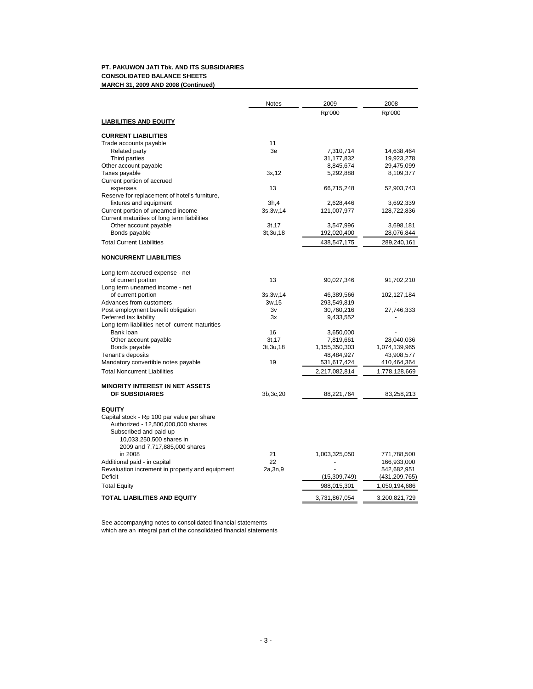## **PT. PAKUWON JATI Tbk. AND ITS SUBSIDIARIES CONSOLIDATED BALANCE SHEETS MARCH 31, 2009 AND 2008 (Continued)**

|                                                 | <b>Notes</b> | 2009          | 2008          |
|-------------------------------------------------|--------------|---------------|---------------|
|                                                 |              | Rp'000        | Rp'000        |
| <b>LIABILITIES AND EQUITY</b>                   |              |               |               |
| <b>CURRENT LIABILITIES</b>                      |              |               |               |
| Trade accounts payable                          | 11           |               |               |
| <b>Related party</b>                            | 3e           | 7,310,714     | 14,638,464    |
| Third parties                                   |              | 31,177,832    | 19,923,278    |
| Other account payable                           |              | 8,845,674     | 29,475,099    |
| Taxes payable                                   | 3x,12        | 5,292,888     | 8,109,377     |
| Current portion of accrued                      |              |               |               |
| expenses                                        | 13           | 66,715,248    | 52,903,743    |
| Reserve for replacement of hotel's furniture,   |              |               |               |
| fixtures and equipment                          | 3h,4         | 2,628,446     | 3,692,339     |
| Current portion of unearned income              | 3s, 3w, 14   | 121,007,977   | 128,722,836   |
| Current maturities of long term liabilities     |              |               |               |
| Other account payable                           | 3t, 17       | 3,547,996     | 3,698,181     |
| Bonds payable                                   | 3t, 3u, 18   | 192,020,400   | 28,076,844    |
| <b>Total Current Liabilities</b>                |              | 438,547,175   | 289,240,161   |
| <b>NONCURRENT LIABILITIES</b>                   |              |               |               |
| Long term accrued expense - net                 |              |               |               |
| of current portion                              | 13           | 90,027,346    | 91,702,210    |
| Long term unearned income - net                 |              |               |               |
| of current portion                              | 3s, 3w, 14   | 46,389,566    | 102,127,184   |
| Advances from customers                         | 3w,15        | 293,549,819   |               |
| Post employment benefit obligation              | 3v           | 30,760,216    | 27,746,333    |
| Deferred tax liability                          | 3x           | 9,433,552     |               |
| Long term liabilities-net of current maturities |              |               |               |
| Bank loan                                       | 16           | 3,650,000     |               |
| Other account payable                           | 3t, 17       | 7,819,661     | 28,040,036    |
| Bonds payable                                   | 3t, 3u, 18   | 1,155,350,303 | 1,074,139,965 |
| Tenant's deposits                               |              | 48,484,927    | 43,908,577    |
| Mandatory convertible notes payable             | 19           | 531,617,424   | 410,464,364   |
| <b>Total Noncurrent Liabilities</b>             |              | 2,217,082,814 | 1,778,128,669 |
| <b>MINORITY INTEREST IN NET ASSETS</b>          |              |               |               |
| OF SUBSIDIARIES                                 | 3b, 3c, 20   | 88,221,764    | 83,258,213    |
| <b>EQUITY</b>                                   |              |               |               |
| Capital stock - Rp 100 par value per share      |              |               |               |
| Authorized - 12,500,000,000 shares              |              |               |               |
| Subscribed and paid-up -                        |              |               |               |
| 10,033,250,500 shares in                        |              |               |               |
| 2009 and 7,717,885,000 shares                   |              |               |               |
| in 2008                                         | 21           | 1,003,325,050 | 771,788,500   |
| Additional paid - in capital                    | 22           |               | 166,933,000   |
| Revaluation increment in property and equipment | 2a, 3n, 9    |               | 542,682,951   |
| Deficit                                         |              | (15,309,749)  | (431,209,765) |
| <b>Total Equity</b>                             |              | 988,015,301   | 1,050,194,686 |
| <b>TOTAL LIABILITIES AND EQUITY</b>             |              | 3,731,867,054 | 3,200,821,729 |

See accompanying notes to consolidated financial statements which are an integral part of the consolidated financial statements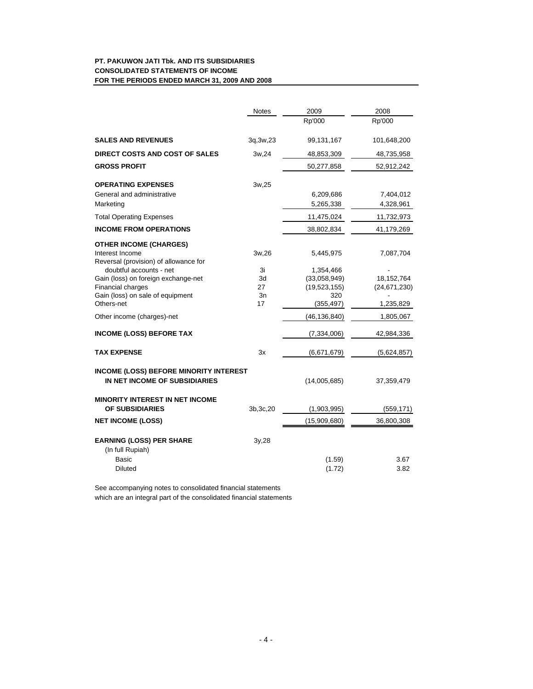# **PT. PAKUWON JATI Tbk. AND ITS SUBSIDIARIES CONSOLIDATED STATEMENTS OF INCOME FOR THE PERIODS ENDED MARCH 31, 2009 AND 2008**

|                                                                                           | <b>Notes</b> | 2009              | 2008           |
|-------------------------------------------------------------------------------------------|--------------|-------------------|----------------|
|                                                                                           |              | Rp'000            | Rp'000         |
| <b>SALES AND REVENUES</b>                                                                 | 3q, 3w, 23   | 99,131,167        | 101,648,200    |
| <b>DIRECT COSTS AND COST OF SALES</b>                                                     | 3w,24        | 48,853,309        | 48,735,958     |
| <b>GROSS PROFIT</b>                                                                       |              | 50,277,858        | 52,912,242     |
| <b>OPERATING EXPENSES</b>                                                                 | 3w,25        |                   |                |
| General and administrative                                                                |              | 6,209,686         | 7,404,012      |
| Marketing                                                                                 |              | 5,265,338         | 4,328,961      |
| <b>Total Operating Expenses</b>                                                           |              | 11,475,024        | 11,732,973     |
| <b>INCOME FROM OPERATIONS</b>                                                             |              | 38,802,834        | 41,179,269     |
| <b>OTHER INCOME (CHARGES)</b><br>Interest Income<br>Reversal (provision) of allowance for | 3w,26        | 5,445,975         | 7,087,704      |
| doubtful accounts - net                                                                   | 3i           | 1,354,466         |                |
| Gain (loss) on foreign exchange-net                                                       | 3d           | (33,058,949)      | 18, 152, 764   |
| <b>Financial charges</b>                                                                  | 27           | (19, 523, 155)    | (24, 671, 230) |
| Gain (loss) on sale of equipment<br>Others-net                                            | 3n<br>17     | 320<br>(355, 497) | 1,235,829      |
| Other income (charges)-net                                                                |              | (46, 136, 840)    | 1,805,067      |
| <b>INCOME (LOSS) BEFORE TAX</b>                                                           |              | (7,334,006)       | 42,984,336     |
| <b>TAX EXPENSE</b>                                                                        | Зx           | (6,671,679)       | (5,624,857)    |
| <b>INCOME (LOSS) BEFORE MINORITY INTEREST</b><br>IN NET INCOME OF SUBSIDIARIES            |              | (14,005,685)      | 37,359,479     |
| <b>MINORITY INTEREST IN NET INCOME</b><br><b>OF SUBSIDIARIES</b>                          | 3b, 3c, 20   | (1,903,995)       | (559, 171)     |
| <b>NET INCOME (LOSS)</b>                                                                  |              | (15,909,680)      | 36,800,308     |
|                                                                                           |              |                   |                |
| <b>EARNING (LOSS) PER SHARE</b><br>(In full Rupiah)                                       | 3y,28        |                   |                |
| Basic                                                                                     |              | (1.59)            | 3.67           |
| <b>Diluted</b>                                                                            |              | (1.72)            | 3.82           |

See accompanying notes to consolidated financial statements

which are an integral part of the consolidated financial statements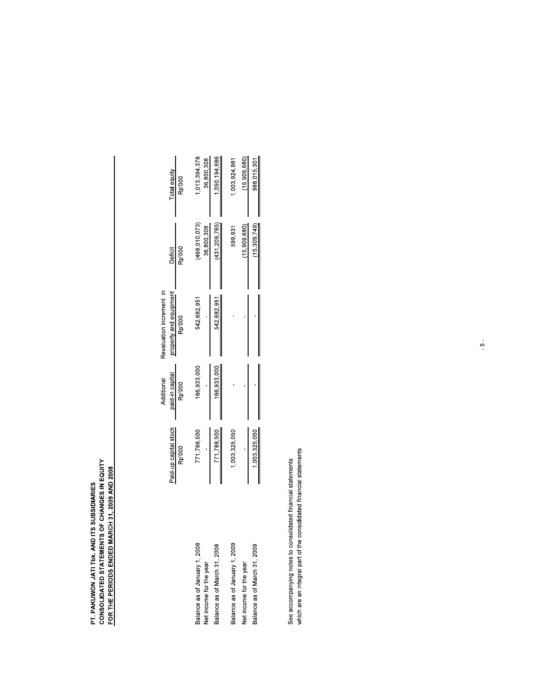# PT. PAKUWON JATI TbK. AND ITS SUBSIDIARIES<br>CONSOLIDATED STATEMENTS OF CHANGES IN EQUITY<br>FOR THE PERIODS ENDED MARCH 31, 2009 AND 2008

|                                                          | aid-up capital stock<br>Rp'000 | paid-in capital<br>Additional<br>Rp'000 | Revaluation increment in<br>property and equipment<br>Rp'000 | Deficit<br>Rp'000           | Total equity<br>Rp'000     |
|----------------------------------------------------------|--------------------------------|-----------------------------------------|--------------------------------------------------------------|-----------------------------|----------------------------|
| Balance as of January 1, 2008<br>Net income for the year | 771,788,500                    | 166,933,000                             | 542,682,951                                                  | (468,010,073)<br>36,800,308 | ,013,394,378<br>36,800,308 |
| Balance as of March 31, 2008                             | 771,788,500                    | 166,933,000                             | 542,682,951                                                  | (431, 209, 765)             | 050,194,686                |
| Balance as of January 1, 2009                            | ,003,325,050                   |                                         |                                                              | 599,931                     | 003,924,981                |
| Net income for the year                                  |                                |                                         |                                                              | (15,909,680)                | (15,909,680                |
| Balance as of March 31, 2009                             | 1,003,325,050                  |                                         |                                                              | (15.309.749)                | 988,015,30                 |
|                                                          |                                |                                         |                                                              |                             |                            |

See accompanying notes to consolidated financial statements<br>which are an integral part of the consolidated financial statements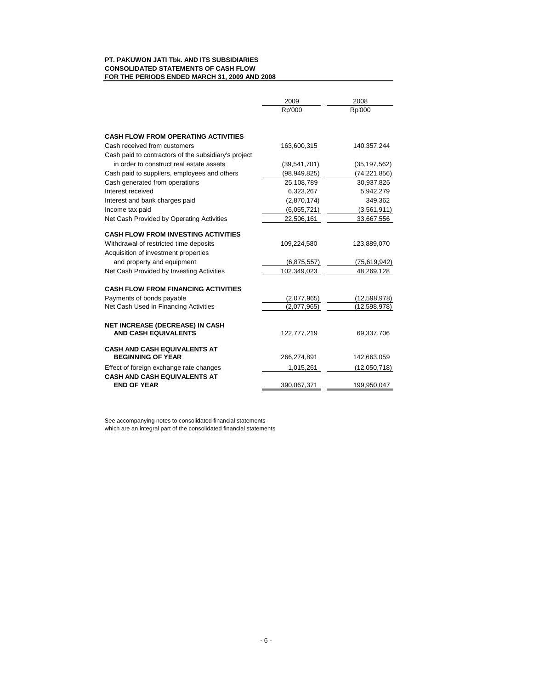## **PT. PAKUWON JATI Tbk. AND ITS SUBSIDIARIES CONSOLIDATED STATEMENTS OF CASH FLOW FOR THE PERIODS ENDED MARCH 31, 2009 AND 2008**

|                                                      | 2009           | 2008           |
|------------------------------------------------------|----------------|----------------|
|                                                      | Rp'000         | Rp'000         |
| <b>CASH FLOW FROM OPERATING ACTIVITIES</b>           |                |                |
| Cash received from customers                         | 163,600,315    | 140,357,244    |
| Cash paid to contractors of the subsidiary's project |                |                |
| in order to construct real estate assets             | (39, 541, 701) | (35, 197, 562) |
| Cash paid to suppliers, employees and others         | (98, 949, 825) | (74,221,856)   |
| Cash generated from operations                       | 25,108,789     | 30,937,826     |
| Interest received                                    | 6,323,267      | 5,942,279      |
| Interest and bank charges paid                       | (2,870,174)    | 349,362        |
| Income tax paid                                      | (6,055,721)    | (3,561,911)    |
| Net Cash Provided by Operating Activities            | 22,506,161     | 33,667,556     |
|                                                      |                |                |
| <b>CASH FLOW FROM INVESTING ACTIVITIES</b>           |                |                |
| Withdrawal of restricted time deposits               | 109,224,580    | 123,889,070    |
| Acquisition of investment properties                 |                |                |
| and property and equipment                           | (6,875,557)    | (75,619,942)   |
| Net Cash Provided by Investing Activities            | 102,349,023    | 48,269,128     |
| <b>CASH FLOW FROM FINANCING ACTIVITIES</b>           |                |                |
| Payments of bonds payable                            | (2,077,965)    | (12,598,978)   |
| Net Cash Used in Financing Activities                | (2,077,965)    | (12,598,978)   |
|                                                      |                |                |
| <b>NET INCREASE (DECREASE) IN CASH</b>               |                |                |
| <b>AND CASH EQUIVALENTS</b>                          | 122,777,219    | 69,337,706     |
| <b>CASH AND CASH EQUIVALENTS AT</b>                  |                |                |
| <b>BEGINNING OF YEAR</b>                             | 266,274,891    | 142,663,059    |
| Effect of foreign exchange rate changes              | 1,015,261      | (12,050,718)   |
| <b>CASH AND CASH EQUIVALENTS AT</b>                  |                |                |
| <b>END OF YEAR</b>                                   | 390,067,371    | 199,950,047    |

See accompanying notes to consolidated financial statements which are an integral part of the consolidated financial statements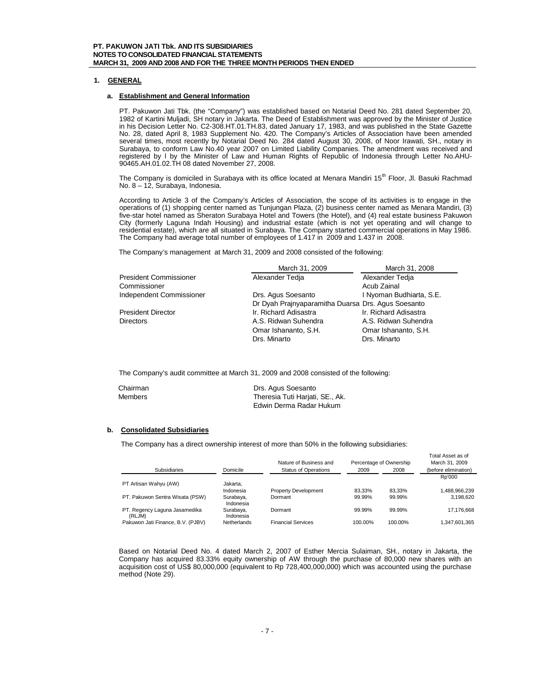## **1. GENERAL**

## **a. Establishment and General Information**

PT. Pakuwon Jati Tbk. (the "Company") was established based on Notarial Deed No. 281 dated September 20, 1982 of Kartini Muljadi, SH notary in Jakarta. The Deed of Establishment was approved by the Minister of Justice in his Decision Letter No. C2-308.HT.01.TH.83, dated January 17, 1983, and was published in the State Gazette No. 28, dated April 8, 1983 Supplement No. 420. The Company's Articles of Association have been amended several times, most recently by Notarial Deed No. 284 dated August 30, 2008, of Noor Irawati, SH., notary in Surabaya, to conform Law No.40 year 2007 on Limited Liability Companies. The amendment was received and registered by l by the Minister of Law and Human Rights of Republic of Indonesia through Letter No.AHU-90465.AH.01.02.TH 08 dated November 27, 2008.

The Company is domiciled in Surabaya with its office located at Menara Mandiri 15<sup>th</sup> Floor, Jl. Basuki Rachmad No. 8 – 12, Surabaya, Indonesia.

According to Article 3 of the Company's Articles of Association, the scope of its activities is to engage in the operations of (1) shopping center named as Tunjungan Plaza, (2) business center named as Menara Mandiri, (3) five-star hotel named as Sheraton Surabaya Hotel and Towers (the Hotel), and (4) real estate business Pakuwon City (formerly Laguna Indah Housing) and industrial estate (which is not yet operating and will change to residential estate), which are all situated in Surabaya. The Company started commercial operations in May 1986. The Company had average total number of employees of 1.417 in 2009 and 1.437 in 2008.

The Company's management at March 31, 2009 and 2008 consisted of the following:

|                               | March 31, 2009                                     | March 31, 2008           |
|-------------------------------|----------------------------------------------------|--------------------------|
| <b>President Commissioner</b> | Alexander Tedia                                    | Alexander Tedia          |
| Commissioner                  |                                                    | Acub Zainal              |
| Independent Commissioner      | Drs. Agus Soesanto                                 | I Nyoman Budhiarta, S.E. |
|                               | Dr Dyah Prajnyaparamitha Duarsa Drs. Agus Soesanto |                          |
| <b>President Director</b>     | Ir. Richard Adisastra                              | Ir. Richard Adisastra    |
| <b>Directors</b>              | A.S. Ridwan Suhendra                               | A.S. Ridwan Suhendra     |
|                               | Omar Ishananto, S.H.                               | Omar Ishananto, S.H.     |
|                               | Drs. Minarto                                       | Drs. Minarto             |

The Company's audit committee at March 31, 2009 and 2008 consisted of the following:

| Chairman | Drs. Agus Soesanto              |
|----------|---------------------------------|
| Members  | Theresia Tuti Harjati, SE., Ak. |
|          | Edwin Derma Radar Hukum         |

## **b. Consolidated Subsidiaries**

The Company has a direct ownership interest of more than 50% in the following subsidiaries:

|                                         |                        | Nature of Business and      |         | Percentage of Ownership | Total Asset as of<br>March 31, 2009 |
|-----------------------------------------|------------------------|-----------------------------|---------|-------------------------|-------------------------------------|
| Subsidiaries                            | Domicile               | <b>Status of Operations</b> | 2009    | 2008                    | (before elimination)                |
|                                         |                        |                             |         |                         | Rp'000                              |
| PT Artisan Wahyu (AW)                   | Jakarta.               |                             |         |                         |                                     |
|                                         | Indonesia              | <b>Property Development</b> | 83.33%  | 83.33%                  | 1,488,966,239                       |
| PT. Pakuwon Sentra Wisata (PSW)         | Surabaya,<br>Indonesia | Dormant                     | 99.99%  | 99.99%                  | 3.198.620                           |
| PT. Regency Laguna Jasamedika<br>(RLJM) | Surabaya,<br>Indonesia | Dormant                     | 99.99%  | 99.99%                  | 17,176,668                          |
| Pakuwon Jati Finance, B.V. (PJBV)       | <b>Netherlands</b>     | <b>Financial Services</b>   | 100.00% | 100.00%                 | 1,347,601,365                       |

Based on Notarial Deed No. 4 dated March 2, 2007 of Esther Mercia Sulaiman, SH., notary in Jakarta, the Company has acquired 83.33% equity ownership of AW through the purchase of 80,000 new shares with an acquisition cost of US\$ 80,000,000 (equivalent to Rp 728,400,000,000) which was accounted using the purchase method (Note 29).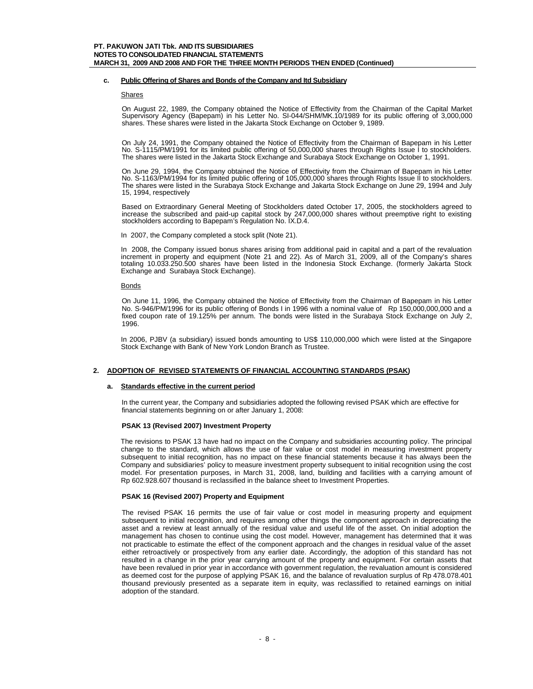## **c. Public Offering of Shares and Bonds of the Company and Itd Subsidiary**

#### Shares

On August 22, 1989, the Company obtained the Notice of Effectivity from the Chairman of the Capital Market Supervisory Agency (Bapepam) in his Letter No. SI-044/SHM/MK.10/1989 for its public offering of 3,000,000 shares. These shares were listed in the Jakarta Stock Exchange on October 9, 1989.

On July 24, 1991, the Company obtained the Notice of Effectivity from the Chairman of Bapepam in his Letter No. S-1115/PM/1991 for its limited public offering of 50,000,000 shares through Rights Issue I to stockholders. The shares were listed in the Jakarta Stock Exchange and Surabaya Stock Exchange on October 1, 1991.

On June 29, 1994, the Company obtained the Notice of Effectivity from the Chairman of Bapepam in his Letter No. S-1163/PM/1994 for its limited public offering of 105,000,000 shares through Rights Issue II to stockholders. The shares were listed in the Surabaya Stock Exchange and Jakarta Stock Exchange on June 29, 1994 and July 15, 1994, respectively

Based on Extraordinary General Meeting of Stockholders dated October 17, 2005, the stockholders agreed to increase the subscribed and paid-up capital stock by 247,000,000 shares without preemptive right to existing stockholders according to Bapepam's Regulation No. IX.D.4.

In 2007, the Company completed a stock split (Note 21).

In 2008, the Company issued bonus shares arising from additional paid in capital and a part of the revaluation increment in property and equipment (Note 21 and 22). As of March 31, 2009, all of the Company's shares totaling 10.033.250.500 shares have been listed in the Indonesia Stock Exchange. (formerly Jakarta Stock Exchange and Surabaya Stock Exchange).

## Bonds

On June 11, 1996, the Company obtained the Notice of Effectivity from the Chairman of Bapepam in his Letter No. S-946/PM/1996 for its public offering of Bonds I in 1996 with a nominal value of Rp 150,000,000,000 and a fixed coupon rate of 19.125% per annum. The bonds were listed in the Surabaya Stock Exchange on July 2, 1996.

In 2006, PJBV (a subsidiary) issued bonds amounting to US\$ 110,000,000 which were listed at the Singapore Stock Exchange with Bank of New York London Branch as Trustee.

## **2. ADOPTION OF REVISED STATEMENTS OF FINANCIAL ACCOUNTING STANDARDS (PSAK)**

## **a. Standards effective in the current period**

In the current year, the Company and subsidiaries adopted the following revised PSAK which are effective for financial statements beginning on or after January 1, 2008:

#### **PSAK 13 (Revised 2007) Investment Property**

The revisions to PSAK 13 have had no impact on the Company and subsidiaries accounting policy. The principal change to the standard, which allows the use of fair value or cost model in measuring investment property subsequent to initial recognition, has no impact on these financial statements because it has always been the Company and subsidiaries' policy to measure investment property subsequent to initial recognition using the cost model. For presentation purposes, in March 31, 2008, land, building and facilities with a carrying amount of Rp 602.928.607 thousand is reclassified in the balance sheet to Investment Properties.

## **PSAK 16 (Revised 2007) Property and Equipment**

The revised PSAK 16 permits the use of fair value or cost model in measuring property and equipment subsequent to initial recognition, and requires among other things the component approach in depreciating the asset and a review at least annually of the residual value and useful life of the asset. On initial adoption the management has chosen to continue using the cost model. However, management has determined that it was not practicable to estimate the effect of the component approach and the changes in residual value of the asset either retroactively or prospectively from any earlier date. Accordingly, the adoption of this standard has not resulted in a change in the prior year carrying amount of the property and equipment. For certain assets that have been revalued in prior year in accordance with government regulation, the revaluation amount is considered as deemed cost for the purpose of applying PSAK 16, and the balance of revaluation surplus of Rp 478.078.401 thousand previously presented as a separate item in equity, was reclassified to retained earnings on initial adoption of the standard.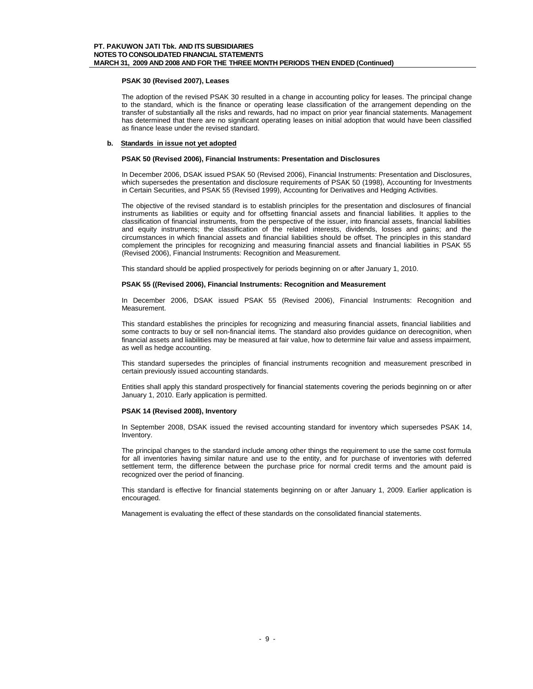## **PSAK 30 (Revised 2007), Leases**

The adoption of the revised PSAK 30 resulted in a change in accounting policy for leases. The principal change to the standard, which is the finance or operating lease classification of the arrangement depending on the transfer of substantially all the risks and rewards, had no impact on prior year financial statements. Management has determined that there are no significant operating leases on initial adoption that would have been classified as finance lease under the revised standard.

## **b. Standards in issue not yet adopted**

#### **PSAK 50 (Revised 2006), Financial Instruments: Presentation and Disclosures**

In December 2006, DSAK issued PSAK 50 (Revised 2006), Financial Instruments: Presentation and Disclosures, which supersedes the presentation and disclosure requirements of PSAK 50 (1998), Accounting for Investments in Certain Securities, and PSAK 55 (Revised 1999), Accounting for Derivatives and Hedging Activities.

The objective of the revised standard is to establish principles for the presentation and disclosures of financial instruments as liabilities or equity and for offsetting financial assets and financial liabilities. It applies to the classification of financial instruments, from the perspective of the issuer, into financial assets, financial liabilities and equity instruments; the classification of the related interests, dividends, losses and gains; and the circumstances in which financial assets and financial liabilities should be offset. The principles in this standard complement the principles for recognizing and measuring financial assets and financial liabilities in PSAK 55 (Revised 2006), Financial Instruments: Recognition and Measurement.

This standard should be applied prospectively for periods beginning on or after January 1, 2010.

## **PSAK 55 ((Revised 2006), Financial Instruments: Recognition and Measurement**

In December 2006, DSAK issued PSAK 55 (Revised 2006), Financial Instruments: Recognition and Measurement.

This standard establishes the principles for recognizing and measuring financial assets, financial liabilities and some contracts to buy or sell non-financial items. The standard also provides quidance on derecognition, when financial assets and liabilities may be measured at fair value, how to determine fair value and assess impairment, as well as hedge accounting.

This standard supersedes the principles of financial instruments recognition and measurement prescribed in certain previously issued accounting standards.

Entities shall apply this standard prospectively for financial statements covering the periods beginning on or after January 1, 2010. Early application is permitted.

## **PSAK 14 (Revised 2008), Inventory**

In September 2008, DSAK issued the revised accounting standard for inventory which supersedes PSAK 14, Inventory.

The principal changes to the standard include among other things the requirement to use the same cost formula for all inventories having similar nature and use to the entity, and for purchase of inventories with deferred settlement term, the difference between the purchase price for normal credit terms and the amount paid is recognized over the period of financing.

This standard is effective for financial statements beginning on or after January 1, 2009. Earlier application is encouraged.

Management is evaluating the effect of these standards on the consolidated financial statements.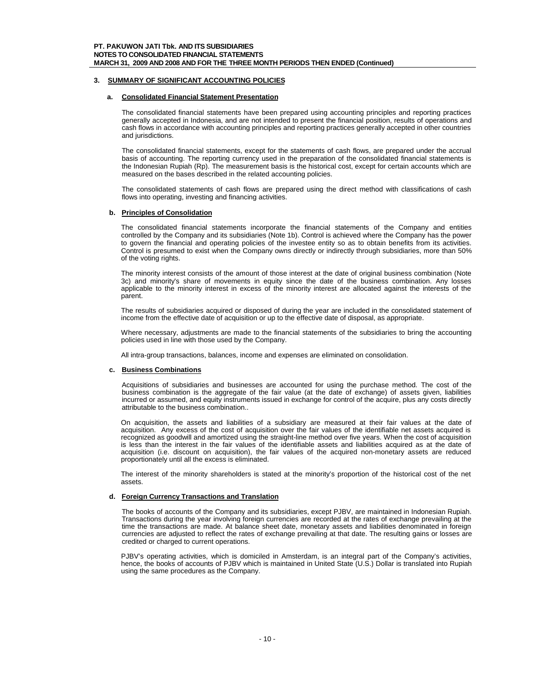## **3. SUMMARY OF SIGNIFICANT ACCOUNTING POLICIES**

## **a. Consolidated Financial Statement Presentation**

The consolidated financial statements have been prepared using accounting principles and reporting practices generally accepted in Indonesia, and are not intended to present the financial position, results of operations and cash flows in accordance with accounting principles and reporting practices generally accepted in other countries and jurisdictions.

The consolidated financial statements, except for the statements of cash flows, are prepared under the accrual basis of accounting. The reporting currency used in the preparation of the consolidated financial statements is the Indonesian Rupiah (Rp). The measurement basis is the historical cost, except for certain accounts which are measured on the bases described in the related accounting policies.

The consolidated statements of cash flows are prepared using the direct method with classifications of cash flows into operating, investing and financing activities.

#### **b. Principles of Consolidation**

The consolidated financial statements incorporate the financial statements of the Company and entities controlled by the Company and its subsidiaries (Note 1b). Control is achieved where the Company has the power to govern the financial and operating policies of the investee entity so as to obtain benefits from its activities. Control is presumed to exist when the Company owns directly or indirectly through subsidiaries, more than 50% of the voting rights.

The minority interest consists of the amount of those interest at the date of original business combination (Note 3c) and minority's share of movements in equity since the date of the business combination. Any losses applicable to the minority interest in excess of the minority interest are allocated against the interests of the parent.

The results of subsidiaries acquired or disposed of during the year are included in the consolidated statement of income from the effective date of acquisition or up to the effective date of disposal, as appropriate.

Where necessary, adjustments are made to the financial statements of the subsidiaries to bring the accounting policies used in line with those used by the Company.

All intra-group transactions, balances, income and expenses are eliminated on consolidation.

#### **c. Business Combinations**

Acquisitions of subsidiaries and businesses are accounted for using the purchase method. The cost of the business combination is the aggregate of the fair value (at the date of exchange) of assets given, liabilities incurred or assumed, and equity instruments issued in exchange for control of the acquire, plus any costs directly attributable to the business combination..

On acquisition, the assets and liabilities of a subsidiary are measured at their fair values at the date of acquisition. Any excess of the cost of acquisition over the fair values of the identifiable net assets acquired is recognized as goodwill and amortized using the straight-line method over five years. When the cost of acquisition is less than the interest in the fair values of the identifiable assets and liabilities acquired as at the date of acquisition (i.e. discount on acquisition), the fair values of the acquired non-monetary assets are reduced proportionately until all the excess is eliminated.

The interest of the minority shareholders is stated at the minority's proportion of the historical cost of the net assets.

## **d. Foreign Currency Transactions and Translation**

The books of accounts of the Company and its subsidiaries, except PJBV, are maintained in Indonesian Rupiah. Transactions during the year involving foreign currencies are recorded at the rates of exchange prevailing at the time the transactions are made. At balance sheet date, monetary assets and liabilities denominated in foreign currencies are adjusted to reflect the rates of exchange prevailing at that date. The resulting gains or losses are credited or charged to current operations.

PJBV's operating activities, which is domiciled in Amsterdam, is an integral part of the Company's activities, hence, the books of accounts of PJBV which is maintained in United State (U.S.) Dollar is translated into Rupiah using the same procedures as the Company.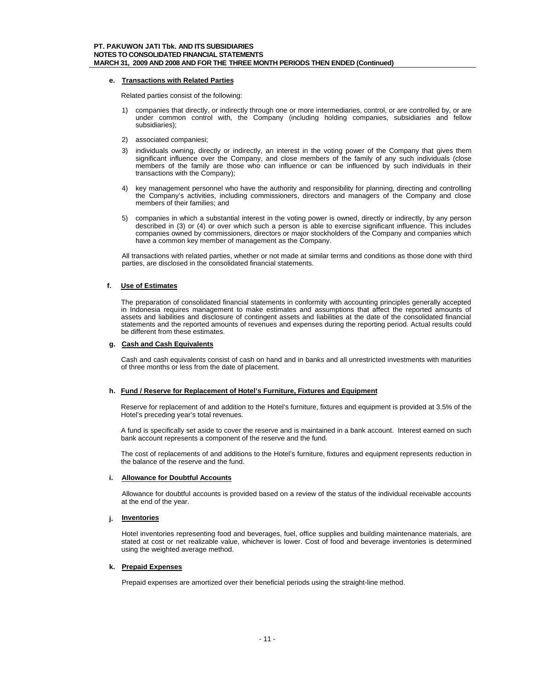#### **e. Transactions with Related Parties**

Related parties consist of the following:

- 1) companies that directly, or indirectly through one or more intermediaries, control, or are controlled by, or are under common control with, the Company (including holding companies, subsidiaries and fellow subsidiaries);
- 2) associated companiesi;
- 3) individuals owning, directly or indirectly, an interest in the voting power of the Company that gives them significant influence over the Company, and close members of the family of any such individuals (close members of the family are those who can influence or can be influenced by such individuals in their transactions with the Company);
- 4) key management personnel who have the authority and responsibility for planning, directing and controlling the Company's activities, including commissioners, directors and managers of the Company and close members of their families; and
- 5) companies in which a substantial interest in the voting power is owned, directly or indirectly, by any person described in (3) or (4) or over which such a person is able to exercise significant influence. This includes companies owned by commissioners, directors or major stockholders of the Company and companies which have a common key member of management as the Company.

All transactions with related parties, whether or not made at similar terms and conditions as those done with third parties, are disclosed in the consolidated financial statements.

## **f. Use of Estimates**

The preparation of consolidated financial statements in conformity with accounting principles generally accepted in Indonesia requires management to make estimates and assumptions that affect the reported amounts of assets and liabilities and disclosure of contingent assets and liabilities at the date of the consolidated financial statements and the reported amounts of revenues and expenses during the reporting period. Actual results could be different from these estimates.

## **g. Cash and Cash Equivalents**

Cash and cash equivalents consist of cash on hand and in banks and all unrestricted investments with maturities of three months or less from the date of placement.

#### **h. Fund / Reserve for Replacement of Hotel's Furniture, Fixtures and Equipment**

Reserve for replacement of and addition to the Hotel's furniture, fixtures and equipment is provided at 3.5% of the Hotel's preceding year's total revenues.

A fund is specifically set aside to cover the reserve and is maintained in a bank account. Interest earned on such bank account represents a component of the reserve and the fund.

The cost of replacements of and additions to the Hotel's furniture, fixtures and equipment represents reduction in the balance of the reserve and the fund.

#### **i. Allowance for Doubtful Accounts**

Allowance for doubtful accounts is provided based on a review of the status of the individual receivable accounts at the end of the year.

#### **j. Inventories**

Hotel inventories representing food and beverages, fuel, office supplies and building maintenance materials, are stated at cost or net realizable value, whichever is lower. Cost of food and beverage inventories is determined using the weighted average method.

#### **k. Prepaid Expenses**

Prepaid expenses are amortized over their beneficial periods using the straight-line method.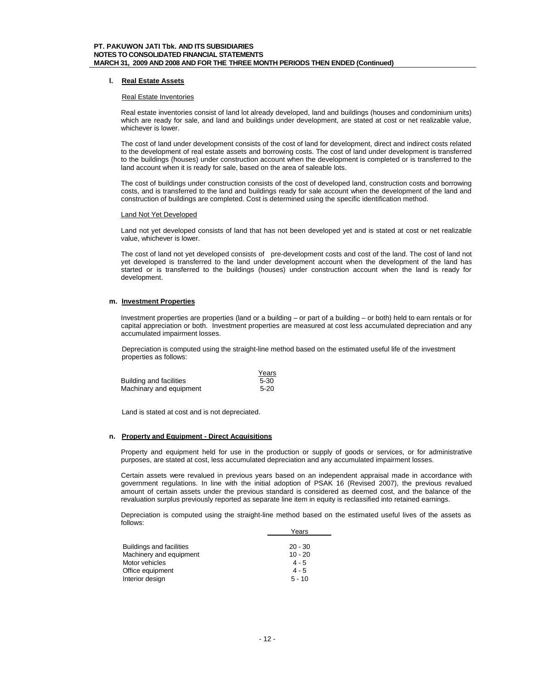## **l. Real Estate Assets**

#### Real Estate Inventories

Real estate inventories consist of land lot already developed, land and buildings (houses and condominium units) which are ready for sale, and land and buildings under development, are stated at cost or net realizable value, whichever is lower.

The cost of land under development consists of the cost of land for development, direct and indirect costs related to the development of real estate assets and borrowing costs. The cost of land under development is transferred to the buildings (houses) under construction account when the development is completed or is transferred to the land account when it is ready for sale, based on the area of saleable lots.

The cost of buildings under construction consists of the cost of developed land, construction costs and borrowing costs, and is transferred to the land and buildings ready for sale account when the development of the land and construction of buildings are completed. Cost is determined using the specific identification method.

#### Land Not Yet Developed

Land not yet developed consists of land that has not been developed yet and is stated at cost or net realizable value, whichever is lower.

The cost of land not yet developed consists of pre-development costs and cost of the land. The cost of land not yet developed is transferred to the land under development account when the development of the land has started or is transferred to the buildings (houses) under construction account when the land is ready for development.

## **m. Investment Properties**

Investment properties are properties (land or a building – or part of a building – or both) held to earn rentals or for capital appreciation or both. Investment properties are measured at cost less accumulated depreciation and any accumulated impairment losses.

Depreciation is computed using the straight-line method based on the estimated useful life of the investment properties as follows:

|                         | Years  |
|-------------------------|--------|
| Building and facilities | 5-30   |
| Machinary and equipment | $5-20$ |

Land is stated at cost and is not depreciated.

#### **n. Property and Equipment - Direct Acquisitions**

Property and equipment held for use in the production or supply of goods or services, or for administrative purposes, are stated at cost, less accumulated depreciation and any accumulated impairment losses.

Certain assets were revalued in previous years based on an independent appraisal made in accordance with government regulations. In line with the initial adoption of PSAK 16 (Revised 2007), the previous revalued amount of certain assets under the previous standard is considered as deemed cost, and the balance of the revaluation surplus previously reported as separate line item in equity is reclassified into retained earnings.

Depreciation is computed using the straight-line method based on the estimated useful lives of the assets as follows: Years

|                                 | i eals    |
|---------------------------------|-----------|
|                                 |           |
| <b>Buildings and facilities</b> | $20 - 30$ |
| Machinery and equipment         | $10 - 20$ |
| Motor vehicles                  | $4 - 5$   |
| Office equipment                | $4 - 5$   |
| Interior design                 | $5 - 10$  |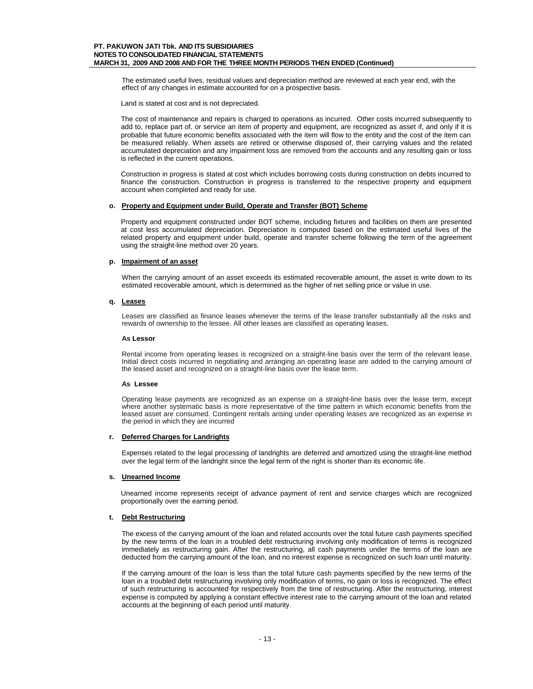The estimated useful lives, residual values and depreciation method are reviewed at each year end, with the effect of any changes in estimate accounted for on a prospective basis.

Land is stated at cost and is not depreciated.

The cost of maintenance and repairs is charged to operations as incurred. Other costs incurred subsequently to add to, replace part of, or service an item of property and equipment, are recognized as asset if, and only if it is probable that future economic benefits associated with the item will flow to the entity and the cost of the item can be measured reliably. When assets are retired or otherwise disposed of, their carrying values and the related accumulated depreciation and any impairment loss are removed from the accounts and any resulting gain or loss is reflected in the current operations.

Construction in progress is stated at cost which includes borrowing costs during construction on debts incurred to finance the construction. Construction in progress is transferred to the respective property and equipment account when completed and ready for use.

#### **o. Property and Equipment under Build, Operate and Transfer (BOT) Scheme**

Property and equipment constructed under BOT scheme, including fixtures and facilities on them are presented at cost less accumulated depreciation. Depreciation is computed based on the estimated useful lives of the related property and equipment under build, operate and transfer scheme following the term of the agreement using the straight-line method over 20 years.

#### **p. Impairment of an asset**

When the carrying amount of an asset exceeds its estimated recoverable amount, the asset is write down to its estimated recoverable amount, which is determined as the higher of net selling price or value in use.

#### **q. Leases**

Leases are classified as finance leases whenever the terms of the lease transfer substantially all the risks and rewards of ownership to the lessee. All other leases are classified as operating leases.

#### **As Lessor**

Rental income from operating leases is recognized on a straight-line basis over the term of the relevant lease. Initial direct costs incurred in negotiating and arranging an operating lease are added to the carrying amount of the leased asset and recognized on a straight-line basis over the lease term.

#### **As Lessee**

Operating lease payments are recognized as an expense on a straight-line basis over the lease term, except where another systematic basis is more representative of the time pattern in which economic benefits from the leased asset are consumed. Contingent rentals arising under operating leases are recognized as an expense in the period in which they are incurred

#### **r. Deferred Charges for Landrights**

Expenses related to the legal processing of landrights are deferred and amortized using the straight-line method over the legal term of the landright since the legal term of the right is shorter than its economic life.

## **s. Unearned Income**

Unearned income represents receipt of advance payment of rent and service charges which are recognized proportionally over the earning period.

## **t. Debt Restructuring**

The excess of the carrying amount of the loan and related accounts over the total future cash payments specified by the new terms of the loan in a troubled debt restructuring involving only modification of terms is recognized immediately as restructuring gain. After the restructuring, all cash payments under the terms of the loan are deducted from the carrying amount of the loan, and no interest expense is recognized on such loan until maturity.

If the carrying amount of the loan is less than the total future cash payments specified by the new terms of the loan in a troubled debt restructuring involving only modification of terms, no gain or loss is recognized. The effect of such restructuring is accounted for respectively from the time of restructuring. After the restructuring, interest expense is computed by applying a constant effective interest rate to the carrying amount of the loan and related accounts at the beginning of each period until maturity.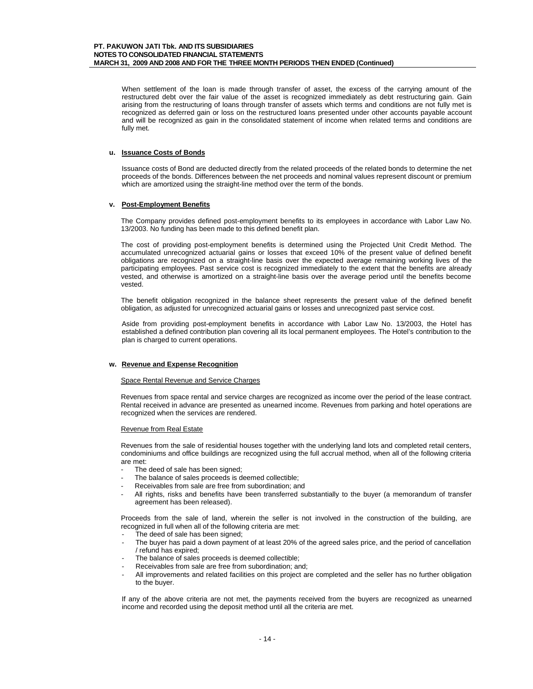When settlement of the loan is made through transfer of asset, the excess of the carrying amount of the restructured debt over the fair value of the asset is recognized immediately as debt restructuring gain. Gain arising from the restructuring of loans through transfer of assets which terms and conditions are not fully met is recognized as deferred gain or loss on the restructured loans presented under other accounts payable account and will be recognized as gain in the consolidated statement of income when related terms and conditions are fully met.

## **u. Issuance Costs of Bonds**

Issuance costs of Bond are deducted directly from the related proceeds of the related bonds to determine the net proceeds of the bonds. Differences between the net proceeds and nominal values represent discount or premium which are amortized using the straight-line method over the term of the bonds.

## **v. Post-Employment Benefits**

The Company provides defined post-employment benefits to its employees in accordance with Labor Law No. 13/2003. No funding has been made to this defined benefit plan.

The cost of providing post-employment benefits is determined using the Projected Unit Credit Method. The accumulated unrecognized actuarial gains or losses that exceed 10% of the present value of defined benefit obligations are recognized on a straight-line basis over the expected average remaining working lives of the participating employees. Past service cost is recognized immediately to the extent that the benefits are already vested, and otherwise is amortized on a straight-line basis over the average period until the benefits become vested.

The benefit obligation recognized in the balance sheet represents the present value of the defined benefit obligation, as adjusted for unrecognized actuarial gains or losses and unrecognized past service cost.

Aside from providing post-employment benefits in accordance with Labor Law No. 13/2003, the Hotel has established a defined contribution plan covering all its local permanent employees. The Hotel's contribution to the plan is charged to current operations.

#### **w. Revenue and Expense Recognition**

#### Space Rental Revenue and Service Charges

Revenues from space rental and service charges are recognized as income over the period of the lease contract. Rental received in advance are presented as unearned income. Revenues from parking and hotel operations are recognized when the services are rendered.

## Revenue from Real Estate

Revenues from the sale of residential houses together with the underlying land lots and completed retail centers, condominiums and office buildings are recognized using the full accrual method, when all of the following criteria are met:

- The deed of sale has been signed;
- The balance of sales proceeds is deemed collectible;
- Receivables from sale are free from subordination; and
- All rights, risks and benefits have been transferred substantially to the buyer (a memorandum of transfer agreement has been released).

Proceeds from the sale of land, wherein the seller is not involved in the construction of the building, are recognized in full when all of the following criteria are met:

- The deed of sale has been signed;
- The buyer has paid a down payment of at least 20% of the agreed sales price, and the period of cancellation / refund has expired;
- The balance of sales proceeds is deemed collectible;
- Receivables from sale are free from subordination; and;
- All improvements and related facilities on this project are completed and the seller has no further obligation to the buyer.

If any of the above criteria are not met, the payments received from the buyers are recognized as unearned income and recorded using the deposit method until all the criteria are met.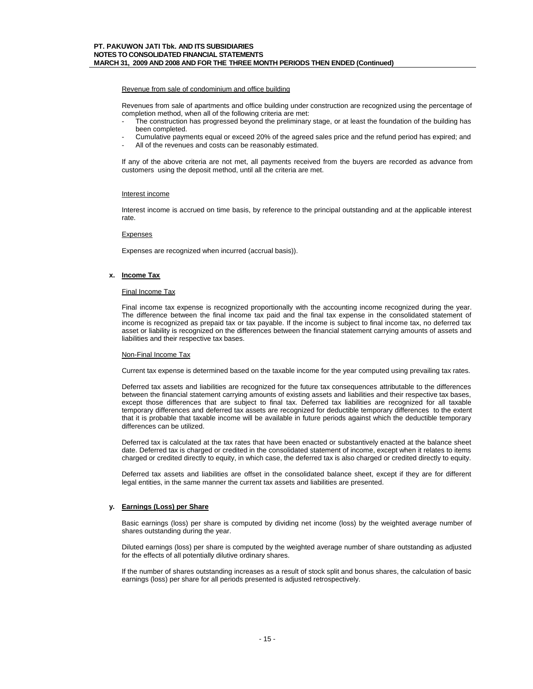Revenue from sale of condominium and office building

Revenues from sale of apartments and office building under construction are recognized using the percentage of completion method, when all of the following criteria are met:

- The construction has progressed beyond the preliminary stage, or at least the foundation of the building has been completed.
- Cumulative payments equal or exceed 20% of the agreed sales price and the refund period has expired; and
- All of the revenues and costs can be reasonably estimated.

If any of the above criteria are not met, all payments received from the buyers are recorded as advance from customers using the deposit method, until all the criteria are met.

#### Interest income

Interest income is accrued on time basis, by reference to the principal outstanding and at the applicable interest rate.

#### **Expenses**

Expenses are recognized when incurred (accrual basis)).

#### **x. Income Tax**

#### Final Income Tax

Final income tax expense is recognized proportionally with the accounting income recognized during the year. The difference between the final income tax paid and the final tax expense in the consolidated statement of income is recognized as prepaid tax or tax payable. If the income is subject to final income tax, no deferred tax asset or liability is recognized on the differences between the financial statement carrying amounts of assets and liabilities and their respective tax bases.

#### Non-Final Income Tax

Current tax expense is determined based on the taxable income for the year computed using prevailing tax rates.

Deferred tax assets and liabilities are recognized for the future tax consequences attributable to the differences between the financial statement carrying amounts of existing assets and liabilities and their respective tax bases, except those differences that are subject to final tax. Deferred tax liabilities are recognized for all taxable temporary differences and deferred tax assets are recognized for deductible temporary differences to the extent that it is probable that taxable income will be available in future periods against which the deductible temporary differences can be utilized.

Deferred tax is calculated at the tax rates that have been enacted or substantively enacted at the balance sheet date. Deferred tax is charged or credited in the consolidated statement of income, except when it relates to items charged or credited directly to equity, in which case, the deferred tax is also charged or credited directly to equity.

Deferred tax assets and liabilities are offset in the consolidated balance sheet, except if they are for different legal entities, in the same manner the current tax assets and liabilities are presented.

#### **y. Earnings (Loss) per Share**

Basic earnings (loss) per share is computed by dividing net income (loss) by the weighted average number of shares outstanding during the year.

Diluted earnings (loss) per share is computed by the weighted average number of share outstanding as adjusted for the effects of all potentially dilutive ordinary shares.

If the number of shares outstanding increases as a result of stock split and bonus shares, the calculation of basic earnings (loss) per share for all periods presented is adjusted retrospectively.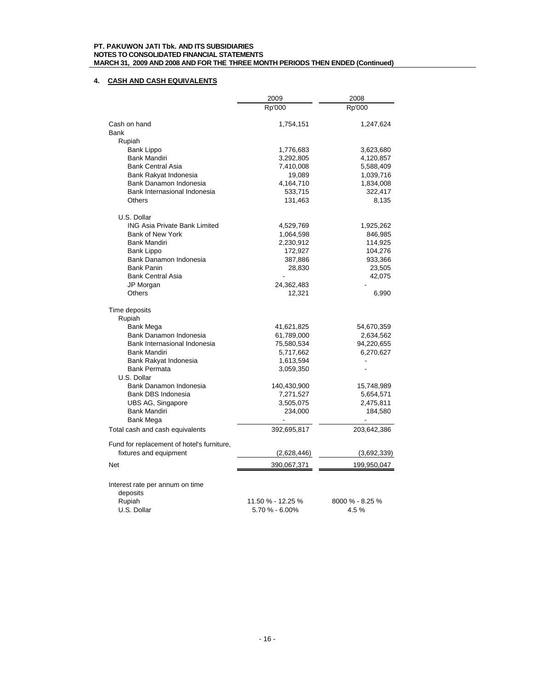# **4. CASH AND CASH EQUIVALENTS**

|                                                        | 2009                                | 2008                    |
|--------------------------------------------------------|-------------------------------------|-------------------------|
|                                                        | Rp'000                              | Rp'000                  |
| Cash on hand                                           | 1,754,151                           | 1,247,624               |
| Bank                                                   |                                     |                         |
| Rupiah                                                 |                                     |                         |
| Bank Lippo                                             | 1,776,683                           | 3,623,680               |
| <b>Bank Mandiri</b>                                    | 3,292,805                           | 4,120,857               |
| <b>Bank Central Asia</b>                               | 7,410,008                           | 5,588,409               |
| Bank Rakyat Indonesia                                  | 19,089                              | 1,039,716               |
| Bank Danamon Indonesia                                 | 4,164,710                           | 1,834,008               |
| Bank Internasional Indonesia                           | 533,715                             | 322,417                 |
| <b>Others</b>                                          | 131,463                             | 8,135                   |
| U.S. Dollar                                            |                                     |                         |
| <b>ING Asia Private Bank Limited</b>                   | 4,529,769                           | 1,925,262               |
| Bank of New York                                       | 1,064,598                           | 846,985                 |
| Bank Mandiri                                           | 2,230,912                           | 114,925                 |
| Bank Lippo                                             | 172,927                             | 104,276                 |
| Bank Danamon Indonesia                                 | 387,886                             | 933,366                 |
| <b>Bank Panin</b>                                      | 28,830                              | 23,505                  |
| <b>Bank Central Asia</b>                               |                                     | 42,075                  |
| JP Morgan                                              | 24,362,483                          |                         |
| <b>Others</b>                                          | 12,321                              | 6,990                   |
| Time deposits                                          |                                     |                         |
| Rupiah                                                 |                                     |                         |
| Bank Mega                                              | 41,621,825                          | 54,670,359              |
| Bank Danamon Indonesia<br>Bank Internasional Indonesia | 61,789,000                          | 2,634,562               |
| <b>Bank Mandiri</b>                                    | 75,580,534<br>5,717,662             | 94,220,655<br>6,270,627 |
| Bank Rakyat Indonesia                                  | 1,613,594                           |                         |
| <b>Bank Permata</b>                                    | 3,059,350                           | $\overline{a}$          |
| U.S. Dollar                                            |                                     |                         |
| Bank Danamon Indonesia                                 | 140,430,900                         | 15,748,989              |
| Bank DBS Indonesia                                     | 7,271,527                           | 5,654,571               |
| UBS AG, Singapore                                      | 3,505,075                           | 2,475,811               |
| Bank Mandiri                                           | 234,000                             | 184,580                 |
| Bank Mega                                              |                                     |                         |
| Total cash and cash equivalents                        | 392,695,817                         | 203,642,386             |
| Fund for replacement of hotel's furniture,             |                                     |                         |
| fixtures and equipment                                 | (2,628,446)                         | (3,692,339)             |
| Net                                                    | 390,067,371                         | 199,950,047             |
| Interest rate per annum on time                        |                                     |                         |
| deposits                                               |                                     |                         |
| Rupiah<br>U.S. Dollar                                  | 11.50 % - 12.25 %<br>5.70 % - 6.00% | 8000 % - 8.25 %<br>4.5% |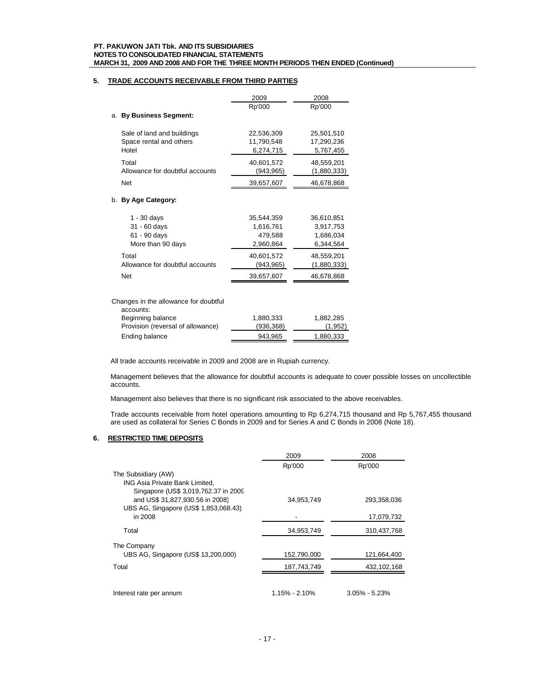## **5. TRADE ACCOUNTS RECEIVABLE FROM THIRD PARTIES**

|                                                                    | 2009                                            | 2008                                              |
|--------------------------------------------------------------------|-------------------------------------------------|---------------------------------------------------|
|                                                                    | Rp'000                                          | Rp'000                                            |
| <b>By Business Segment:</b><br>a.                                  |                                                 |                                                   |
| Sale of land and buildings<br>Space rental and others<br>Hotel     | 22,536,309<br>11,790,548<br>6,274,715           | 25,501,510<br>17,290,236<br>5,767,455             |
| Total<br>Allowance for doubtful accounts                           | 40,601,572<br>(943,965)                         | 48,559,201<br>(1,880,333)                         |
| <b>Net</b>                                                         | 39,657,607                                      | 46,678,868                                        |
| b. By Age Category:                                                |                                                 |                                                   |
| $1 - 30$ days<br>31 - 60 days<br>61 - 90 days<br>More than 90 days | 35,544,359<br>1,616,761<br>479,588<br>2,960,864 | 36,610,851<br>3,917,753<br>1,686,034<br>6,344,564 |
| Total<br>Allowance for doubtful accounts                           | 40,601,572<br>(943,965)                         | 48,559,201<br>(1,880,333)                         |
| <b>Net</b>                                                         | 39,657,607                                      | 46,678,868                                        |
|                                                                    |                                                 |                                                   |

## Changes in the allowance for doubtful

| accounts:                         |            |           |
|-----------------------------------|------------|-----------|
| Beginning balance                 | 1,880,333  | 1.882.285 |
| Provision (reversal of allowance) | (936, 368) | (1,952)   |
| Ending balance                    | 943.965    | 1,880,333 |

All trade accounts receivable in 2009 and 2008 are in Rupiah currency.

Management believes that the allowance for doubtful accounts is adequate to cover possible losses on uncollectible accounts.

Management also believes that there is no significant risk associated to the above receivables.

Trade accounts receivable from hotel operations amounting to Rp 6,274,715 thousand and Rp 5,767,455 thousand are used as collateral for Series C Bonds in 2009 and for Series A and C Bonds in 2008 (Note 18).

# **6. RESTRICTED TIME DEPOSITS**

|                                                                                               | 2009          | 2008              |
|-----------------------------------------------------------------------------------------------|---------------|-------------------|
|                                                                                               | Rp'000        | Rp'000            |
| The Subsidiary (AW)<br>ING Asia Private Bank Limited,<br>Singapore (US\$ 3,019,762.37 in 2009 |               |                   |
| and US\$ 31,827,930.56 in 2008)<br>UBS AG, Singapore (US\$ 1,853,068.43)                      | 34,953,749    | 293,358,036       |
| in 2008                                                                                       |               | 17,079,732        |
| Total                                                                                         | 34,953,749    | 310,437,768       |
| The Company                                                                                   |               |                   |
| UBS AG, Singapore (US\$ 13,200,000)                                                           | 152,790,000   | 121,664,400       |
| Total                                                                                         | 187,743,749   | 432,102,168       |
|                                                                                               |               |                   |
| Interest rate per annum                                                                       | 1.15% - 2.10% | $3.05\% - 5.23\%$ |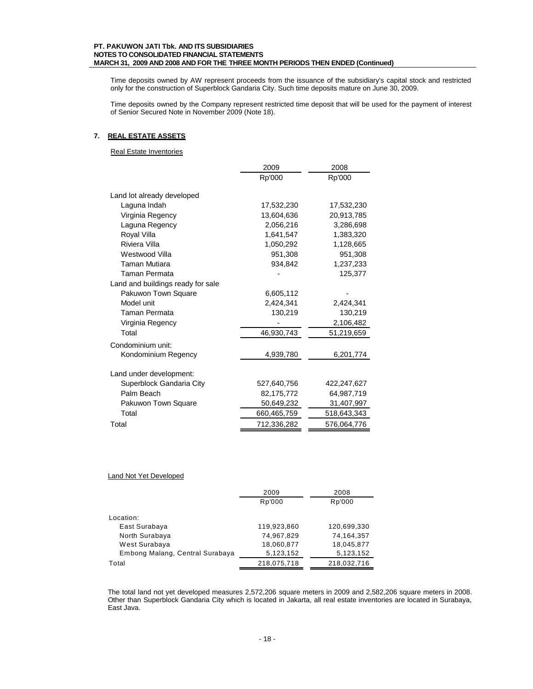Time deposits owned by AW represent proceeds from the issuance of the subsidiary's capital stock and restricted only for the construction of Superblock Gandaria City. Such time deposits mature on June 30, 2009.

Time deposits owned by the Company represent restricted time deposit that will be used for the payment of interest of Senior Secured Note in November 2009 (Note 18).

## **7. REAL ESTATE ASSETS**

Real Estate Inventories

|                                   | 2009        | 2008        |  |
|-----------------------------------|-------------|-------------|--|
|                                   | Rp'000      | Rp'000      |  |
| Land lot already developed        |             |             |  |
| Laguna Indah                      | 17,532,230  | 17,532,230  |  |
| Virginia Regency                  | 13,604,636  | 20,913,785  |  |
| Laguna Regency                    | 2,056,216   | 3,286,698   |  |
| Royal Villa                       | 1,641,547   | 1,383,320   |  |
| Riviera Villa                     | 1,050,292   | 1,128,665   |  |
| Westwood Villa                    | 951,308     | 951,308     |  |
| <b>Taman Mutiara</b>              | 934,842     | 1,237,233   |  |
| Taman Permata                     |             | 125,377     |  |
| Land and buildings ready for sale |             |             |  |
| Pakuwon Town Square               | 6,605,112   |             |  |
| Model unit                        | 2,424,341   | 2,424,341   |  |
| <b>Taman Permata</b>              | 130,219     | 130,219     |  |
| Virginia Regency                  |             | 2,106,482   |  |
| Total                             | 46,930,743  | 51,219,659  |  |
| Condominium unit:                 |             |             |  |
| Kondominium Regency               | 4,939,780   | 6,201,774   |  |
| Land under development:           |             |             |  |
| Superblock Gandaria City          | 527,640,756 | 422,247,627 |  |
| Palm Beach                        | 82,175,772  | 64,987,719  |  |
| Pakuwon Town Square               | 50,649,232  | 31,407,997  |  |
| Total                             | 660,465,759 | 518,643,343 |  |
| Total                             | 712.336.282 | 576.064.776 |  |

## Land Not Yet Developed

|                                 | 2009        | 2008        |
|---------------------------------|-------------|-------------|
|                                 | Rp'000      | Rp'000      |
|                                 |             |             |
| Location:                       |             |             |
| East Surabaya                   | 119,923,860 | 120,699,330 |
| North Surabaya                  | 74,967,829  | 74,164,357  |
| West Surabaya                   | 18,060,877  | 18,045,877  |
| Embong Malang, Central Surabaya | 5,123,152   | 5,123,152   |
| Total                           | 218,075,718 | 218,032,716 |

The total land not yet developed measures 2,572,206 square meters in 2009 and 2,582,206 square meters in 2008. Other than Superblock Gandaria City which is located in Jakarta, all real estate inventories are located in Surabaya, East Java.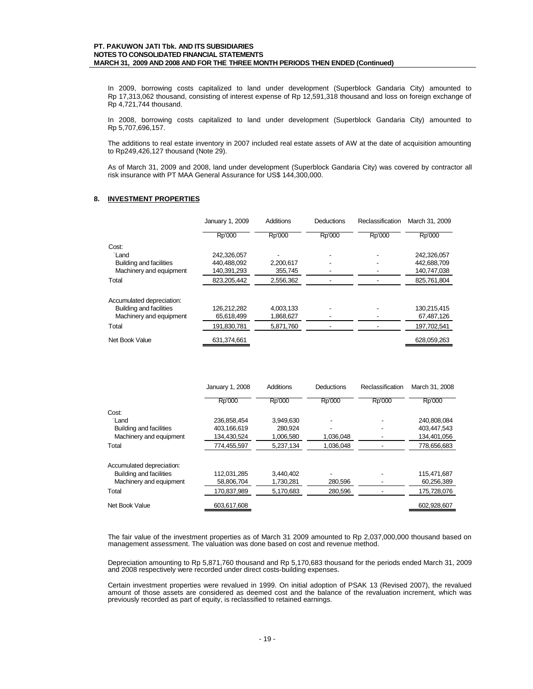In 2009, borrowing costs capitalized to land under development (Superblock Gandaria City) amounted to Rp 17,313,062 thousand, consisting of interest expense of Rp 12,591,318 thousand and loss on foreign exchange of Rp 4,721,744 thousand.

In 2008, borrowing costs capitalized to land under development (Superblock Gandaria City) amounted to Rp 5,707,696,157.

The additions to real estate inventory in 2007 included real estate assets of AW at the date of acquisition amounting to Rp249,426,127 thousand (Note 29).

As of March 31, 2009 and 2008, land under development (Superblock Gandaria City) was covered by contractor all risk insurance with PT MAA General Assurance for US\$ 144,300,000.

## **8. INVESTMENT PROPERTIES**

|                           | January 1, 2009 | Additions | Deductions | Reclassification | March 31, 2009 |
|---------------------------|-----------------|-----------|------------|------------------|----------------|
|                           | Rp'000          | Rp'000    | Rp'000     | Rp'000           | Rp'000         |
| Cost:                     |                 |           |            |                  |                |
| Land                      | 242.326.057     |           |            |                  | 242.326.057    |
| Building and facilities   | 440,488,092     | 2,200,617 |            |                  | 442,688,709    |
| Machinery and equipment   | 140,391,293     | 355,745   |            |                  | 140,747,038    |
| Total                     | 823,205,442     | 2,556,362 |            |                  | 825,761,804    |
| Accumulated depreciation: |                 |           |            |                  |                |
| Building and facilities   | 126,212,282     | 4,003,133 |            |                  | 130,215,415    |
| Machinery and equipment   | 65,618,499      | 1,868,627 |            |                  | 67,487,126     |
| Total                     | 191,830,781     | 5,871,760 |            |                  | 197,702,541    |
| Net Book Value            | 631.374.661     |           |            |                  | 628,059,263    |

|                           | January 1, 2008 | <b>Additions</b> | Deductions | Reclassification | March 31, 2008 |
|---------------------------|-----------------|------------------|------------|------------------|----------------|
|                           | Rp'000          | Rp'000           | Rp'000     | Rp'000           | Rp'000         |
| Cost:                     |                 |                  |            |                  |                |
| Land                      | 236,858,454     | 3.949.630        |            |                  | 240,808,084    |
| Building and facilities   | 403,166,619     | 280.924          |            |                  | 403,447,543    |
| Machinery and equipment   | 134,430,524     | 1,006,580        | 1,036,048  |                  | 134,401,056    |
| Total                     | 774,455,597     | 5,237,134        | 1,036,048  |                  | 778,656,683    |
| Accumulated depreciation: |                 |                  |            |                  |                |
| Building and facilities   | 112.031.285     | 3.440.402        |            |                  | 115.471.687    |
| Machinery and equipment   | 58,806,704      | 1,730,281        | 280,596    |                  | 60,256,389     |
| Total                     | 170.837.989     | 5.170.683        | 280.596    |                  | 175.728.076    |
| Net Book Value            | 603.617.608     |                  |            |                  | 602,928,607    |

The fair value of the investment properties as of March 31 2009 amounted to Rp 2,037,000,000 thousand based on management assessment. The valuation was done based on cost and revenue method.

Depreciation amounting to Rp 5,871,760 thousand and Rp 5,170,683 thousand for the periods ended March 31, 2009 and 2008 respectively were recorded under direct costs-building expenses.

Certain investment properties were revalued in 1999. On initial adoption of PSAK 13 (Revised 2007), the revalued amount of those assets are considered as deemed cost and the balance of the revaluation increment, which was previously recorded as part of equity, is reclassified to retained earnings.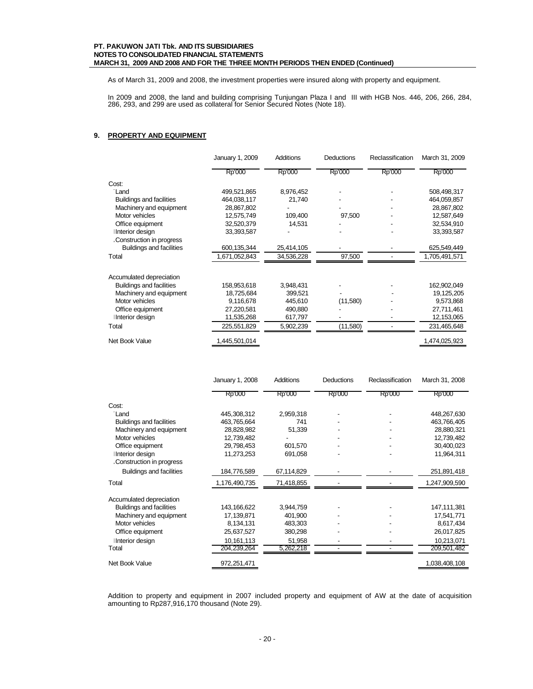As of March 31, 2009 and 2008, the investment properties were insured along with property and equipment.

In 2009 and 2008, the land and building comprising Tunjungan Plaza I and III with HGB Nos. 446, 206, 266, 284, 286, 293, and 299 are used as collateral for Senior Secured Notes (Note 18).

## **9. PROPERTY AND EQUIPMENT**

|                                 | January 1, 2009 | Additions  | <b>Deductions</b> | Reclassification | March 31, 2009 |
|---------------------------------|-----------------|------------|-------------------|------------------|----------------|
|                                 | Rp'000          | Rp'000     | Rp'000            | Rp'000           | Rp'000         |
| Cost:                           |                 |            |                   |                  |                |
| Land                            | 499,521,865     | 8,976,452  |                   |                  | 508,498,317    |
| <b>Buildings and facilities</b> | 464,038,117     | 21,740     |                   |                  | 464,059,857    |
| Machinery and equipment         | 28,867,802      |            |                   |                  | 28,867,802     |
| Motor vehicles                  | 12,575,749      | 109,400    | 97,500            |                  | 12,587,649     |
| Office equipment                | 32,520,379      | 14,531     |                   |                  | 32,534,910     |
| Interior design                 | 33,393,587      |            |                   |                  | 33,393,587     |
| Construction in progress        |                 |            |                   |                  |                |
| <b>Buildings and facilities</b> | 600,135,344     | 25,414,105 |                   |                  | 625,549,449    |
| Total                           | 1,671,052,843   | 34,536,228 | 97,500            |                  | 1,705,491,571  |
| Accumulated depreciation        |                 |            |                   |                  |                |
| <b>Buildings and facilities</b> | 158,953,618     | 3,948,431  |                   |                  | 162,902,049    |
| Machinery and equipment         | 18,725,684      | 399,521    |                   |                  | 19, 125, 205   |
| Motor vehicles                  | 9,116,678       | 445,610    | (11,580)          |                  | 9,573,868      |
| Office equipment                | 27,220,581      | 490,880    |                   |                  | 27,711,461     |
| Interior design                 | 11,535,268      | 617,797    |                   |                  | 12,153,065     |
| Total                           | 225,551,829     | 5,902,239  | (11,580)          |                  | 231,465,648    |
| Net Book Value                  | 1,445,501,014   |            |                   |                  | 1,474,025,923  |

|                                 | January 1, 2008 | Additions  | Deductions | Reclassification | March 31, 2008 |
|---------------------------------|-----------------|------------|------------|------------------|----------------|
|                                 | Rp'000          | Rp'000     | Rp'000     | Rp'000           | Rp'000         |
| Cost:                           |                 |            |            |                  |                |
| Land                            | 445,308,312     | 2,959,318  |            |                  | 448,267,630    |
| <b>Buildings and facilities</b> | 463,765,664     | 741        |            |                  | 463,766,405    |
| Machinery and equipment         | 28,828,982      | 51,339     |            |                  | 28,880,321     |
| Motor vehicles                  | 12,739,482      |            |            |                  | 12,739,482     |
| Office equipment                | 29,798,453      | 601,570    |            |                  | 30,400,023     |
| Interior design                 | 11,273,253      | 691,058    |            |                  | 11,964,311     |
| Construction in progress        |                 |            |            |                  |                |
| <b>Buildings and facilities</b> | 184,776,589     | 67,114,829 |            |                  | 251,891,418    |
| Total                           | 1,176,490,735   | 71,418,855 |            |                  | 1,247,909,590  |
| Accumulated depreciation        |                 |            |            |                  |                |
| <b>Buildings and facilities</b> | 143, 166, 622   | 3,944,759  |            |                  | 147,111,381    |
| Machinery and equipment         | 17,139,871      | 401,900    |            |                  | 17,541,771     |
| Motor vehicles                  | 8,134,131       | 483,303    |            |                  | 8,617,434      |
| Office equipment                | 25,637,527      | 380,298    |            |                  | 26,017,825     |
| Interior design                 | 10,161,113      | 51,958     |            |                  | 10,213,071     |
| Total                           | 204,239,264     | 5,262,218  |            |                  | 209,501,482    |
| Net Book Value                  | 972,251,471     |            |            |                  | 1,038,408,108  |

Addition to property and equipment in 2007 included property and equipment of AW at the date of acquisition amounting to Rp287,916,170 thousand (Note 29).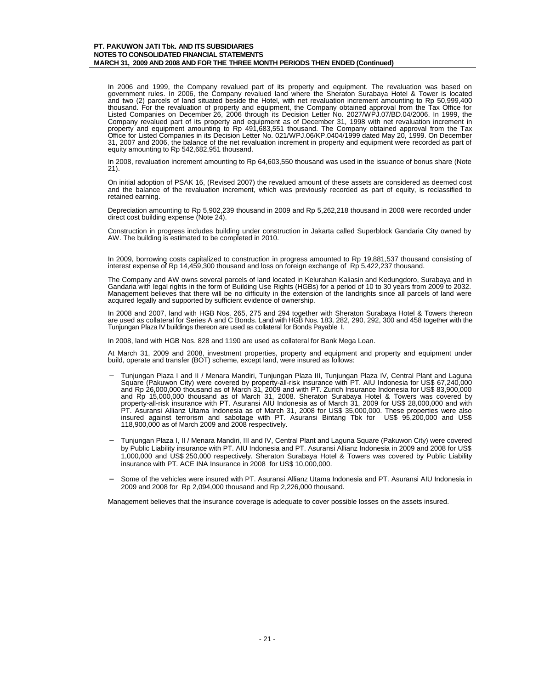In 2006 and 1999, the Company revalued part of its property and equipment. The revaluation was based on government rules. In 2006, the Company revalued land where the Sheraton Surabaya Hotel & Tower is located and two (2) parcels of land situated beside the Hotel, with net revaluation increment amounting to Rp 50,999,400 thousand. For the revaluation of property and equipment, the Company obtained approval from the Tax Office for Listed Companies on December 26, 2006 through its Decision Letter No. 2027/WPJ.07/BD.04/2006. In 1999, the Company revalued part of its property and equipment as of December 31, 1998 with net revaluation increment in property and equipment amounting to Rp 491,683,551 thousand. The Company obtained approval from the Tax Office for Listed Companies in its Decision Letter No. 021/WPJ.06/KP.0404/1999 dated May 20, 1999. On December 31, 2007 and 2006, the balance of the net revaluation increment in property and equipment were recorded as part of equity amounting to Rp 542,682,951 thousand.

In 2008, revaluation increment amounting to Rp 64,603,550 thousand was used in the issuance of bonus share (Note 21).

On initial adoption of PSAK 16, (Revised 2007) the revalued amount of these assets are considered as deemed cost and the balance of the revaluation increment, which was previously recorded as part of equity, is reclassified to retained earning.

Depreciation amounting to Rp 5,902,239 thousand in 2009 and Rp 5,262,218 thousand in 2008 were recorded under direct cost building expense (Note 24).

Construction in progress includes building under construction in Jakarta called Superblock Gandaria City owned by AW. The building is estimated to be completed in 2010.

In 2009, borrowing costs capitalized to construction in progress amounted to Rp 19,881,537 thousand consisting of interest expense of Rp 14,459,300 thousand and loss on foreign exchange of Rp 5,422,237 thousand.

The Company and AW owns several parcels of land located in Kelurahan Kaliasin and Kedungdoro, Surabaya and in Gandaria with legal rights in the form of Building Use Rights (HGBs) for a period of 10 to 30 years from 2009 to 2032. Management believes that there will be no difficulty in the extension of the landrights since all parcels of land were acquired legally and supported by sufficient evidence of ownership.

In 2008 and 2007, land with HGB Nos. 265, 275 and 294 together with Sheraton Surabaya Hotel & Towers thereon are used as collateral for Series A and C Bonds. Land with HGB Nos. 183, 282, 290, 292, 300 and 458 together with the Tunjungan Plaza IV buildings thereon are used as collateral for Bonds Payable I.

In 2008, land with HGB Nos. 828 and 1190 are used as collateral for Bank Mega Loan.

At March 31, 2009 and 2008, investment properties, property and equipment and property and equipment under build, operate and transfer (BOT) scheme, except land, were insured as follows:

- Tunjungan Plaza I and II / Menara Mandiri, Tunjungan Plaza III, Tunjungan Plaza IV, Central Plant and Laguna<br>Square (Pakuwon City) were covered by property-all-risk insurance with PT. AIU Indonesia for US\$ 67,240,000<br>and R and Rp 15,000,000 thousand as of March 31, 2008. Sheraton Surabaya Hotel & Towers was covered by property-all-risk insurance with PT. Asuransi AIU Indonesia as of March 31, 2009 for US\$ 28,000,000 and with PT. Asuransi Allianz Utama Indonesia as of March 31, 2008 for US\$ 35,000,000. These properties were also insured against terrorism and sabotage with PT. Asuransi Bintang Tbk for US\$ 95,200,000 and US\$ 118,900,000 as of March 2009 and 2008 respectively.
- − Tunjungan Plaza I, II / Menara Mandiri, III and IV, Central Plant and Laguna Square (Pakuwon City) were covered by Public Liability insurance with PT. AIU Indonesia and PT. Asuransi Allianz Indonesia in 2009 and 2008 for US\$ 1,000,000 and US\$ 250,000 respectively. Sheraton Surabaya Hotel & Towers was covered by Public Liability insurance with PT. ACE INA Insurance in 2008 for US\$ 10,000,000.
- − Some of the vehicles were insured with PT. Asuransi Allianz Utama Indonesia and PT. Asuransi AIU Indonesia in 2009 and 2008 for Rp 2,094,000 thousand and Rp 2,226,000 thousand.

Management believes that the insurance coverage is adequate to cover possible losses on the assets insured.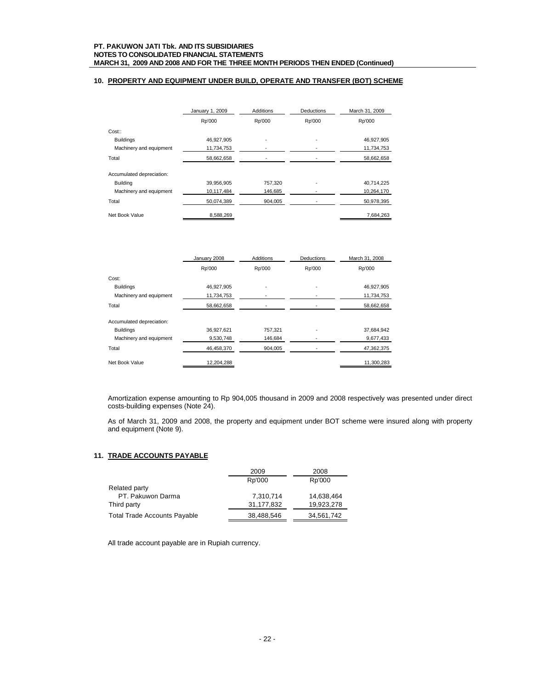## **10. PROPERTY AND EQUIPMENT UNDER BUILD, OPERATE AND TRANSFER (BOT) SCHEME**

|                           | January 1, 2009 | Additions | Deductions | March 31, 2009 |
|---------------------------|-----------------|-----------|------------|----------------|
|                           | Rp'000          | Rp'000    | Rp'000     | Rp'000         |
| Cost:                     |                 |           |            |                |
| <b>Buildings</b>          | 46.927.905      |           |            | 46.927.905     |
| Machinery and equipment   | 11,734,753      |           |            | 11,734,753     |
| Total                     | 58,662,658      |           |            | 58,662,658     |
| Accumulated depreciation: |                 |           |            |                |
| Building                  | 39,956,905      | 757,320   |            | 40,714,225     |
| Machinery and equipment   | 10,117,484      | 146,685   |            | 10,264,170     |
| Total                     | 50,074,389      | 904,005   |            | 50,978,395     |
| Net Book Value            | 8.588.269       |           |            | 7.684.263      |

|                           | January 2008 | <b>Additions</b> | <b>Deductions</b> | March 31, 2008 |
|---------------------------|--------------|------------------|-------------------|----------------|
|                           | Rp'000       | Rp'000           | Rp'000            | Rp'000         |
| Cost:                     |              |                  |                   |                |
| <b>Buildings</b>          | 46.927.905   |                  |                   | 46,927,905     |
| Machinery and equipment   | 11,734,753   |                  |                   | 11,734,753     |
| Total                     | 58,662,658   |                  |                   | 58,662,658     |
| Accumulated depreciation: |              |                  |                   |                |
| <b>Buildings</b>          | 36,927,621   | 757,321          |                   | 37,684,942     |
| Machinery and equipment   | 9,530,748    | 146,684          |                   | 9,677,433      |
| Total                     | 46,458,370   | 904,005          |                   | 47,362,375     |
| Net Book Value            | 12,204,288   |                  |                   | 11,300,283     |

Amortization expense amounting to Rp 904,005 thousand in 2009 and 2008 respectively was presented under direct costs-building expenses (Note 24).

As of March 31, 2009 and 2008, the property and equipment under BOT scheme were insured along with property and equipment (Note 9).

## **11. TRADE ACCOUNTS PAYABLE**

|                                     | 2009       | 2008       |
|-------------------------------------|------------|------------|
|                                     | Rp'000     | Rp'000     |
| Related party                       |            |            |
| PT. Pakuwon Darma                   | 7,310,714  | 14,638,464 |
| Third party                         | 31,177,832 | 19,923,278 |
| <b>Total Trade Accounts Payable</b> | 38,488,546 | 34,561,742 |

All trade account payable are in Rupiah currency.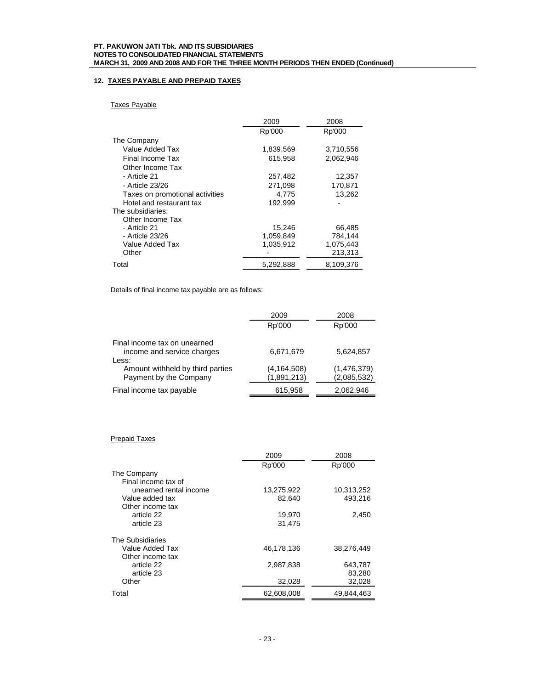# **12. TAXES PAYABLE AND PREPAID TAXES**

# Taxes Payable

|                                 | 2009      | 2008      |  |
|---------------------------------|-----------|-----------|--|
|                                 | Rp'000    | Rp'000    |  |
| The Company                     |           |           |  |
| Value Added Tax                 | 1,839,569 | 3,710,556 |  |
| Final Income Tax                | 615,958   | 2,062,946 |  |
| Other Income Tax                |           |           |  |
| - Article 21                    | 257,482   | 12,357    |  |
| - Article 23/26                 | 271,098   | 170.871   |  |
| Taxes on promotional activities | 4.775     | 13,262    |  |
| Hotel and restaurant tax        | 192.999   |           |  |
| The subsidiaries:               |           |           |  |
| Other Income Tax                |           |           |  |
| - Article 21                    | 15,246    | 66,485    |  |
| - Article 23/26                 | 1,059,849 | 784,144   |  |
| Value Added Tax                 | 1,035,912 | 1,075,443 |  |
| Other                           |           | 213,313   |  |
| Total                           | 5,292,888 | 8,109,376 |  |

Details of final income tax payable are as follows:

|                                  | 2009          | 2008        |
|----------------------------------|---------------|-------------|
|                                  | Rp'000        | Rp'000      |
| Final income tax on unearned     |               |             |
| income and service charges       | 6,671,679     | 5,624,857   |
| Less:                            |               |             |
| Amount withheld by third parties | (4, 164, 508) | (1,476,379) |
| Payment by the Company           | (1,891,213)   | (2,085,532) |
| Final income tax payable         | 615,958       | 2,062,946   |

## Prepaid Taxes

|                        | 2009       | 2008       |
|------------------------|------------|------------|
|                        | Rp'000     | Rp'000     |
| The Company            |            |            |
| Final income tax of    |            |            |
| unearned rental income | 13,275,922 | 10,313,252 |
| Value added tax        | 82.640     | 493.216    |
| Other income tax       |            |            |
| article 22             | 19,970     | 2,450      |
| article 23             | 31.475     |            |
|                        |            |            |
| The Subsidiaries       |            |            |
| Value Added Tax        | 46,178,136 | 38,276,449 |
| Other income tax       |            |            |
| article 22             | 2.987.838  | 643,787    |
| article 23             |            | 83,280     |
| Other                  | 32,028     | 32,028     |
| Total                  | 62,608,008 | 49,844,463 |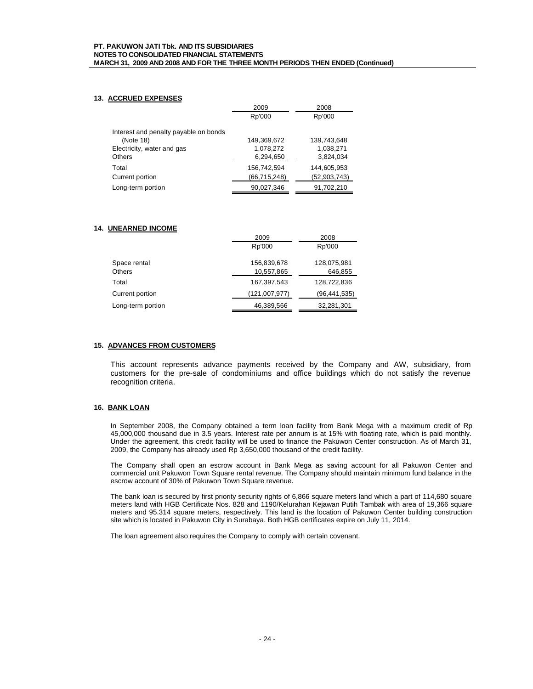## **13. ACCRUED EXPENSES**

|                                       | 2009         | 2008         |  |
|---------------------------------------|--------------|--------------|--|
|                                       | Rp'000       | Rp'000       |  |
| Interest and penalty payable on bonds |              |              |  |
| (Note 18)                             | 149,369,672  | 139.743.648  |  |
| Electricity, water and gas            | 1,078,272    | 1,038,271    |  |
| Others                                | 6,294,650    | 3,824,034    |  |
| Total                                 | 156,742,594  | 144,605,953  |  |
| Current portion                       | (66,715,248) | (52,903,743) |  |
| Long-term portion                     | 90.027.346   | 91,702,210   |  |

## **14. UNEARNED INCOME**

|                   | 2009          | 2008           |  |
|-------------------|---------------|----------------|--|
|                   | Rp'000        |                |  |
| Space rental      | 156,839,678   | 128,075,981    |  |
| Others            | 10,557,865    | 646,855        |  |
| Total             | 167,397,543   | 128,722,836    |  |
| Current portion   | (121,007,977) | (96, 441, 535) |  |
| Long-term portion | 46,389,566    | 32,281,301     |  |

## **15. ADVANCES FROM CUSTOMERS**

This account represents advance payments received by the Company and AW, subsidiary, from customers for the pre-sale of condominiums and office buildings which do not satisfy the revenue recognition criteria.

## **16. BANK LOAN**

In September 2008, the Company obtained a term loan facility from Bank Mega with a maximum credit of Rp 45,000,000 thousand due in 3.5 years. Interest rate per annum is at 15% with floating rate, which is paid monthly. Under the agreement, this credit facility will be used to finance the Pakuwon Center construction. As of March 31, 2009, the Company has already used Rp 3,650,000 thousand of the credit facility.

The Company shall open an escrow account in Bank Mega as saving account for all Pakuwon Center and commercial unit Pakuwon Town Square rental revenue. The Company should maintain minimum fund balance in the escrow account of 30% of Pakuwon Town Square revenue.

The bank loan is secured by first priority security rights of 6,866 square meters land which a part of 114,680 square meters land with HGB Certificate Nos. 828 and 1190/Kelurahan Kejawan Putih Tambak with area of 19,366 square meters and 95.314 square meters, respectively. This land is the location of Pakuwon Center building construction site which is located in Pakuwon City in Surabaya. Both HGB certificates expire on July 11, 2014.

The loan agreement also requires the Company to comply with certain covenant.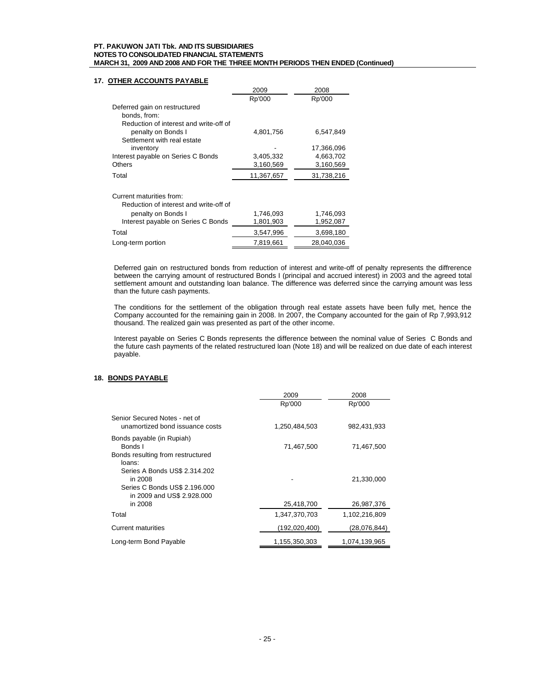## **17. OTHER ACCOUNTS PAYABLE**

|                                        | 2009       | 2008       |
|----------------------------------------|------------|------------|
|                                        | Rp'000     | Rp'000     |
| Deferred gain on restructured          |            |            |
| bonds, from:                           |            |            |
| Reduction of interest and write-off of |            |            |
| penalty on Bonds I                     | 4,801,756  | 6,547,849  |
| Settlement with real estate            |            |            |
| inventory                              |            | 17,366,096 |
| Interest payable on Series C Bonds     | 3,405,332  | 4,663,702  |
| Others                                 | 3,160,569  | 3,160,569  |
| Total                                  | 11,367,657 | 31,738,216 |
| Current maturities from:               |            |            |
| Reduction of interest and write-off of |            |            |
| penalty on Bonds I                     | 1,746,093  | 1,746,093  |
| Interest payable on Series C Bonds     | 1,801,903  | 1,952,087  |
| Total                                  | 3,547,996  | 3,698,180  |
| Long-term portion                      | 7,819,661  | 28,040,036 |

Deferred gain on restructured bonds from reduction of interest and write-off of penalty represents the diffrerence between the carrying amount of restructured Bonds I (principal and accrued interest) in 2003 and the agreed total settlement amount and outstanding loan balance. The difference was deferred since the carrying amount was less than the future cash payments.

The conditions for the settlement of the obligation through real estate assets have been fully met, hence the Company accounted for the remaining gain in 2008. In 2007, the Company accounted for the gain of Rp 7,993,912 thousand. The realized gain was presented as part of the other income.

Interest payable on Series C Bonds represents the difference between the nominal value of Series C Bonds and the future cash payments of the related restructured loan (Note 18) and will be realized on due date of each interest payable.

# **18. BONDS PAYABLE**

|                                                                                                                   | 2009          | 2008          |  |
|-------------------------------------------------------------------------------------------------------------------|---------------|---------------|--|
|                                                                                                                   | Rp'000        | Rp'000        |  |
| Senior Secured Notes - net of<br>unamortized bond issuance costs                                                  | 1,250,484,503 | 982,431,933   |  |
| Bonds payable (in Rupiah)<br>Bonds I<br>Bonds resulting from restructured                                         | 71,467,500    | 71,467,500    |  |
| loans:<br>Series A Bonds US\$ 2.314.202<br>in 2008<br>Series C Bonds US\$ 2.196.000<br>in 2009 and US\$ 2.928.000 |               | 21,330,000    |  |
| in 2008                                                                                                           | 25,418,700    | 26,987,376    |  |
| Total                                                                                                             | 1,347,370,703 | 1,102,216,809 |  |
| <b>Current maturities</b>                                                                                         | (192,020,400) | (28,076,844)  |  |
| Long-term Bond Payable                                                                                            | 1,155,350,303 | 1,074,139,965 |  |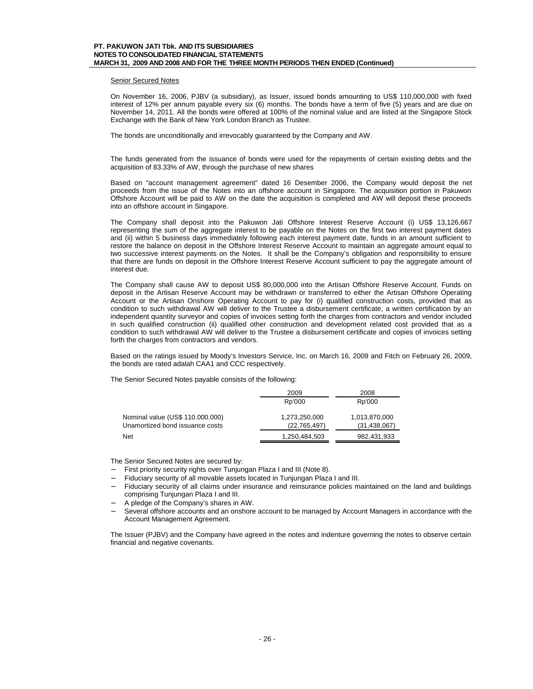## Senior Secured Notes

On November 16, 2006, PJBV (a subsidiary), as Issuer, issued bonds amounting to US\$ 110,000,000 with fixed interest of 12% per annum payable every six (6) months. The bonds have a term of five (5) years and are due on November 14, 2011. All the bonds were offered at 100% of the nominal value and are listed at the Singapore Stock Exchange with the Bank of New York London Branch as Trustee.

The bonds are unconditionally and irrevocably guaranteed by the Company and AW.

The funds generated from the issuance of bonds were used for the repayments of certain existing debts and the acquisition of 83.33% of AW, through the purchase of new shares

Based on "account management agreement" dated 16 Desember 2006, the Company would deposit the net proceeds from the issue of the Notes into an offshore account in Singapore. The acquisition portion in Pakuwon Offshore Account will be paid to AW on the date the acquisition is completed and AW will deposit these proceeds into an offshore account in Singapore.

The Company shall deposit into the Pakuwon Jati Offshore Interest Reserve Account (i) US\$ 13,126,667 representing the sum of the aggregate interest to be payable on the Notes on the first two interest payment dates and (ii) within 5 business days immediately following each interest payment date, funds in an amount sufficient to restore the balance on deposit in the Offshore Interest Reserve Account to maintain an aggregate amount equal to two successive interest payments on the Notes. It shall be the Company's obligation and responsibility to ensure that there are funds on deposit in the Offshore Interest Reserve Account sufficient to pay the aggregate amount of interest due.

The Company shall cause AW to deposit US\$ 80,000,000 into the Artisan Offshore Reserve Account. Funds on deposit in the Artisan Reserve Account may be withdrawn or transferred to either the Artisan Offshore Operating Account or the Artisan Onshore Operating Account to pay for (i) qualified construction costs, provided that as condition to such withdrawal AW will deliver to the Trustee a disbursement certificate, a written certification by an independent quantity surveyor and copies of invoices setting forth the charges from contractors and vendor included in such qualified construction (ii) qualified other construction and development related cost provided that as a condition to such withdrawal AW will deliver to the Trustee a disbursement certificate and copies of invoices setting forth the charges from contractors and vendors.

Based on the ratings issued by Moody's Investors Service, Inc. on March 16, 2009 and Fitch on February 26, 2009, the bonds are rated adalah CAA1 and CCC respectively.

The Senior Secured Notes payable consists of the following:

|                                  | 2009           | 2008           |
|----------------------------------|----------------|----------------|
|                                  | Rp'000         | Rp'000         |
| Nominal value (US\$ 110.000.000) | 1,273,250,000  | 1,013,870,000  |
| Unamortized bond issuance costs  | (22, 765, 497) | (31, 438, 067) |
| Net                              | 1,250,484,503  | 982,431,933    |

The Senior Secured Notes are secured by:

- − First priority security rights over Tunjungan Plaza I and III (Note 8).
- Fiduciary security of all movable assets located in Tunjungan Plaza I and III.
- Fiduciary security of all claims under insurance and reinsurance policies maintained on the land and buildings comprising Tunjungan Plaza I and III.
- − A pledge of the Company's shares in AW.
- Several offshore accounts and an onshore account to be managed by Account Managers in accordance with the Account Management Agreement.

The Issuer (PJBV) and the Company have agreed in the notes and indenture governing the notes to observe certain financial and negative covenants.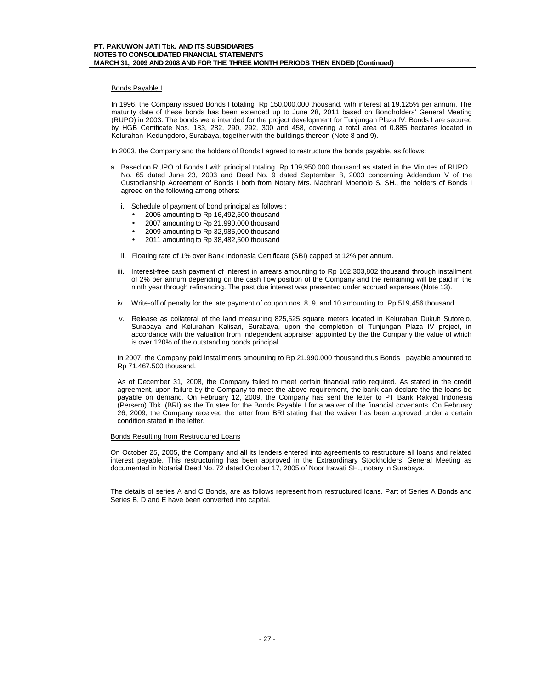## Bonds Payable I

In 1996, the Company issued Bonds I totaling Rp 150,000,000 thousand, with interest at 19.125% per annum. The maturity date of these bonds has been extended up to June 28, 2011 based on Bondholders' General Meeting (RUPO) in 2003. The bonds were intended for the project development for Tunjungan Plaza IV. Bonds I are secured by HGB Certificate Nos. 183, 282, 290, 292, 300 and 458, covering a total area of 0.885 hectares located in Kelurahan Kedungdoro, Surabaya, together with the buildings thereon (Note 8 and 9).

In 2003, the Company and the holders of Bonds I agreed to restructure the bonds payable, as follows:

- a. Based on RUPO of Bonds I with principal totaling Rp 109,950,000 thousand as stated in the Minutes of RUPO I No. 65 dated June 23, 2003 and Deed No. 9 dated September 8, 2003 concerning Addendum V of the Custodianship Agreement of Bonds I both from Notary Mrs. Machrani Moertolo S. SH., the holders of Bonds I agreed on the following among others:
	- i. Schedule of payment of bond principal as follows :
		- 2005 amounting to Rp 16,492,500 thousand
		- 2007 amounting to Rp 21,990,000 thousand
		- 2009 amounting to Rp 32,985,000 thousand
		- 2011 amounting to Rp 38,482,500 thousand
	- ii. Floating rate of 1% over Bank Indonesia Certificate (SBI) capped at 12% per annum.
	- iii. Interest-free cash payment of interest in arrears amounting to Rp 102,303,802 thousand through installment of 2% per annum depending on the cash flow position of the Company and the remaining will be paid in the ninth year through refinancing. The past due interest was presented under accrued expenses (Note 13).
	- iv. Write-off of penalty for the late payment of coupon nos. 8, 9, and 10 amounting to Rp 519,456 thousand
	- v. Release as collateral of the land measuring 825,525 square meters located in Kelurahan Dukuh Sutorejo, Surabaya and Kelurahan Kalisari, Surabaya, upon the completion of Tunjungan Plaza IV project, in accordance with the valuation from independent appraiser appointed by the the Company the value of which is over 120% of the outstanding bonds principal..

In 2007, the Company paid installments amounting to Rp 21.990.000 thousand thus Bonds I payable amounted to Rp 71.467.500 thousand.

As of December 31, 2008, the Company failed to meet certain financial ratio required. As stated in the credit agreement, upon failure by the Company to meet the above requirement, the bank can declare the the loans be payable on demand. On February 12, 2009, the Company has sent the letter to PT Bank Rakyat Indonesia (Persero) Tbk. (BRI) as the Trustee for the Bonds Payable I for a waiver of the financial covenants. On February 26, 2009, the Company received the letter from BRI stating that the waiver has been approved under a certain condition stated in the letter.

#### Bonds Resulting from Restructured Loans

On October 25, 2005, the Company and all its lenders entered into agreements to restructure all loans and related interest payable. This restructuring has been approved in the Extraordinary Stockholders' General Meeting as documented in Notarial Deed No. 72 dated October 17, 2005 of Noor Irawati SH., notary in Surabaya.

The details of series A and C Bonds, are as follows represent from restructured loans. Part of Series A Bonds and Series B, D and E have been converted into capital.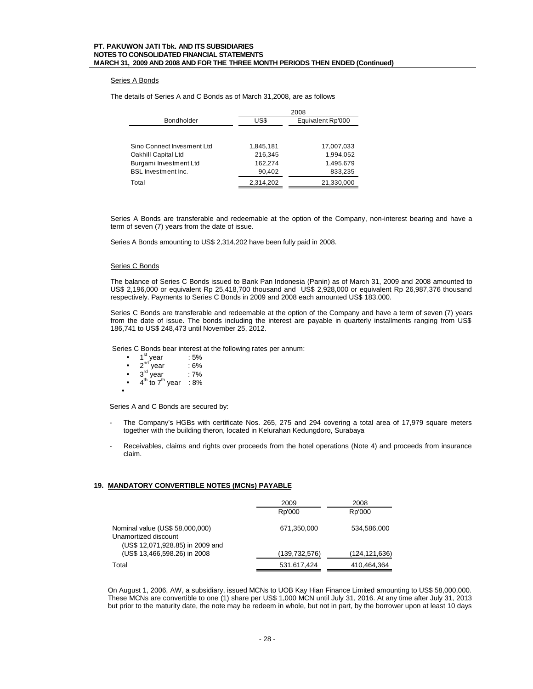## Series A Bonds

The details of Series A and C Bonds as of March 31,2008, are as follows

|                            |           | 2008              |  |  |
|----------------------------|-----------|-------------------|--|--|
| Bondholder                 | US\$      | Equivalent Rp'000 |  |  |
|                            |           |                   |  |  |
| Sino Connect Invesment Ltd | 1,845,181 | 17,007,033        |  |  |
| Oakhill Capital Ltd        | 216,345   | 1,994,052         |  |  |
| Burgami Investment Ltd     | 162.274   | 1.495.679         |  |  |
| <b>BSL Investment Inc.</b> | 90.402    | 833,235           |  |  |
| Total                      | 2,314,202 | 21,330,000        |  |  |

Series A Bonds are transferable and redeemable at the option of the Company, non-interest bearing and have a term of seven (7) years from the date of issue.

Series A Bonds amounting to US\$ 2,314,202 have been fully paid in 2008.

#### Series C Bonds

The balance of Series C Bonds issued to Bank Pan Indonesia (Panin) as of March 31, 2009 and 2008 amounted to US\$ 2,196,000 or equivalent Rp 25,418,700 thousand and US\$ 2,928,000 or equivalent Rp 26,987,376 thousand respectively. Payments to Series C Bonds in 2009 and 2008 each amounted US\$ 183.000.

Series C Bonds are transferable and redeemable at the option of the Company and have a term of seven (7) years from the date of issue. The bonds including the interest are payable in quarterly installments ranging from US\$ 186,741 to US\$ 248,473 until November 25, 2012.

Series C Bonds bear interest at the following rates per annum:

- $1^{\text{st}}$  year  $:5\%$
- $2^{nd}$  year : 6%
- $3<sup>rd</sup>$  year : 7%
- $\bullet$  4<sup>th</sup> to 7<sup>th</sup> year : 8%

•

Series A and C Bonds are secured by:

- The Company's HGBs with certificate Nos. 265, 275 and 294 covering a total area of 17,979 square meters together with the building theron, located in Kelurahan Kedungdoro, Surabaya
- Receivables, claims and rights over proceeds from the hotel operations (Note 4) and proceeds from insurance claim.

## **19. MANDATORY CONVERTIBLE NOTES (MCNs) PAYABLE**

|                                                                                             | 2009            | 2008          |
|---------------------------------------------------------------------------------------------|-----------------|---------------|
|                                                                                             | Rp'000          | Rp'000        |
| Nominal value (US\$ 58,000,000)<br>Unamortized discount<br>(US\$ 12,071,928.85) in 2009 and | 671,350,000     | 534,586,000   |
| (US\$ 13,466,598.26) in 2008                                                                | (139, 732, 576) | (124,121,636) |
| Total                                                                                       | 531,617,424     | 410,464,364   |

On August 1, 2006, AW, a subsidiary, issued MCNs to UOB Kay Hian Finance Limited amounting to US\$ 58,000,000. These MCNs are convertible to one (1) share per US\$ 1,000 MCN until July 31, 2016. At any time after July 31, 2013 but prior to the maturity date, the note may be redeem in whole, but not in part, by the borrower upon at least 10 days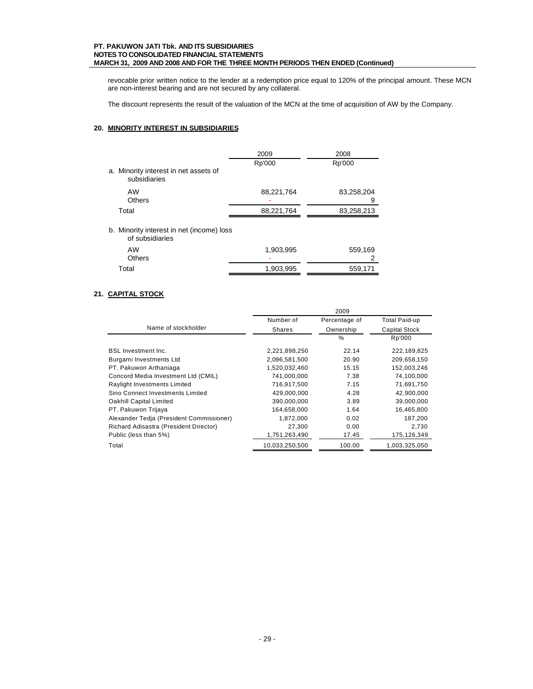revocable prior written notice to the lender at a redemption price equal to 120% of the principal amount. These MCN are non-interest bearing and are not secured by any collateral.

The discount represents the result of the valuation of the MCN at the time of acquisition of AW by the Company.

# **20. MINORITY INTEREST IN SUBSIDIARIES**

|                                                              | 2009       | 2008            |
|--------------------------------------------------------------|------------|-----------------|
| a. Minority interest in net assets of<br>subsidiaries        | Rp'000     | Rp'000          |
| AW<br>Others                                                 | 88,221,764 | 83,258,204<br>9 |
| Total                                                        | 88,221,764 | 83,258,213      |
| b. Minority interest in net (income) loss<br>of subsidiaries |            |                 |
| AW<br><b>Others</b>                                          | 1.903,995  | 559,169         |

Total 1,903,995 559,171

## **21. CAPITAL STOCK**

|                                          | 2009           |               |                      |
|------------------------------------------|----------------|---------------|----------------------|
|                                          | Number of      | Percentage of | <b>Total Paid-up</b> |
| Name of stockholder                      | Shares         | Ownership     | Capital Stock        |
|                                          |                | $\frac{0}{0}$ | Rp'000               |
| <b>BSL Investment Inc.</b>               | 2,221,898,250  | 22.14         | 222,189,825          |
| Burgami Investments Ltd                  | 2,096,581,500  | 20.90         | 209,658,150          |
| PT. Pakuwon Arthaniaga                   | 1,520,032,460  | 15.15         | 152,003,246          |
| Concord Media Investment Ltd (CMIL)      | 741,000,000    | 7.38          | 74,100,000           |
| Raylight Investments Limited             | 716,917,500    | 7.15          | 71,691,750           |
| Sino Connect Investments Limited         | 429,000,000    | 4.28          | 42,900,000           |
| Oakhill Capital Limited                  | 390,000,000    | 3.89          | 39,000,000           |
| PT. Pakuwon Trijaya                      | 164.658.000    | 1.64          | 16.465.800           |
| Alexander Tedia (President Commissioner) | 1,872,000      | 0.02          | 187,200              |
| Richard Adisastra (President Director)   | 27,300         | 0.00          | 2,730                |
| Public (less than 5%)                    | 1,751,263,490  | 17.45         | 175,126,349          |
| Total                                    | 10,033,250,500 | 100.00        | 1,003,325,050        |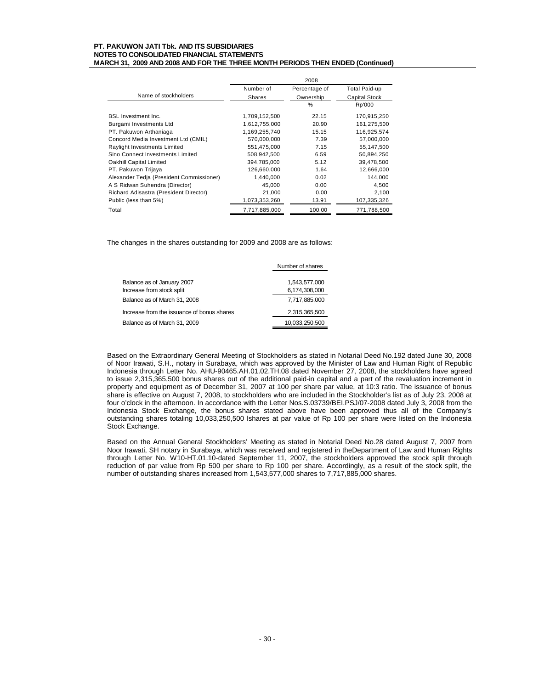|                                          | 2008          |               |                      |
|------------------------------------------|---------------|---------------|----------------------|
|                                          | Number of     | Percentage of | <b>Total Paid-up</b> |
| Name of stockholders                     | Shares        | Ownership     | Capital Stock        |
|                                          |               | $\%$          | Rp'000               |
| <b>BSL Investment Inc.</b>               | 1,709,152,500 | 22.15         | 170,915,250          |
| Burgami Investments Ltd                  | 1,612,755,000 | 20.90         | 161,275,500          |
| PT. Pakuwon Arthaniaga                   | 1,169,255,740 | 15.15         | 116,925,574          |
| Concord Media Investment Ltd (CMIL)      | 570.000.000   | 7.39          | 57.000.000           |
| Raylight Investments Limited             | 551,475,000   | 7.15          | 55,147,500           |
| Sino Connect Investments Limited         | 508,942,500   | 6.59          | 50,894,250           |
| Oakhill Capital Limited                  | 394,785,000   | 5.12          | 39,478,500           |
| PT. Pakuwon Trijaya                      | 126,660,000   | 1.64          | 12,666,000           |
| Alexander Tedja (President Commissioner) | 1,440,000     | 0.02          | 144,000              |
| A S Ridwan Suhendra (Director)           | 45,000        | 0.00          | 4,500                |
| Richard Adisastra (President Director)   | 21,000        | 0.00          | 2,100                |
| Public (less than 5%)                    | 1,073,353,260 | 13.91         | 107,335,326          |
| Total                                    | 7,717,885,000 | 100.00        | 771,788,500          |

The changes in the shares outstanding for 2009 and 2008 are as follows:

|                                            | Number of shares |
|--------------------------------------------|------------------|
|                                            |                  |
| Balance as of January 2007                 | 1,543,577,000    |
| Increase from stock split                  | 6,174,308,000    |
| Balance as of March 31, 2008               | 7.717.885.000    |
| Increase from the issuance of bonus shares | 2,315,365,500    |
| Balance as of March 31, 2009               | 10,033,250,500   |

Based on the Extraordinary General Meeting of Stockholders as stated in Notarial Deed No.192 dated June 30, 2008 of Noor Irawati, S.H., notary in Surabaya, which was approved by the Minister of Law and Human Right of Republic Indonesia through Letter No. AHU-90465.AH.01.02.TH.08 dated November 27, 2008, the stockholders have agreed to issue 2,315,365,500 bonus shares out of the additional paid-in capital and a part of the revaluation increment in property and equipment as of December 31, 2007 at 100 per share par value, at 10:3 ratio. The issuance of bonus share is effective on August 7, 2008, to stockholders who are included in the Stockholder's list as of July 23, 2008 at four o'clock in the afternoon. In accordance with the Letter Nos.S.03739/BEI.PSJ/07-2008 dated July 3, 2008 from the Indonesia Stock Exchange, the bonus shares stated above have been approved thus all of the Company's outstanding shares totaling 10,033,250,500 lshares at par value of Rp 100 per share were listed on the Indonesia Stock Exchange.

Based on the Annual General Stockholders' Meeting as stated in Notarial Deed No.28 dated August 7, 2007 from Noor Irawati, SH notary in Surabaya, which was received and registered in theDepartment of Law and Human Rights through Letter No. W10-HT.01.10-dated September 11, 2007, the stockholders approved the stock split through reduction of par value from Rp 500 per share to Rp 100 per share. Accordingly, as a result of the stock split, the number of outstanding shares increased from 1,543,577,000 shares to 7,717,885,000 shares.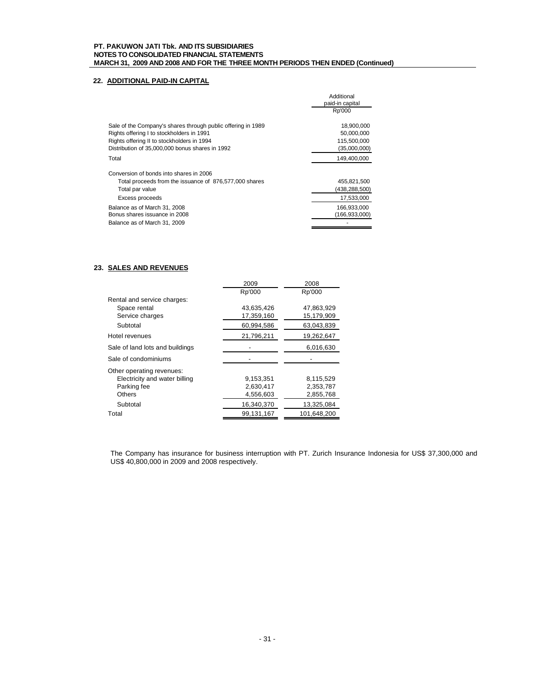# **22. ADDITIONAL PAID-IN CAPITAL**

|                                                                                                           | Additional<br>paid-in capital<br>Rp'000 |
|-----------------------------------------------------------------------------------------------------------|-----------------------------------------|
| Sale of the Company's shares through public offering in 1989<br>Rights offering I to stockholders in 1991 | 18,900,000<br>50,000,000                |
| Rights offering II to stockholders in 1994                                                                | 115,500,000                             |
| Distribution of 35,000,000 bonus shares in 1992                                                           | (35,000,000)                            |
| Total                                                                                                     | 149,400,000                             |
| Conversion of bonds into shares in 2006                                                                   |                                         |
| Total proceeds from the issuance of 876,577,000 shares                                                    | 455,821,500                             |
| Total par value                                                                                           | (438,288,500)                           |
| Excess proceeds                                                                                           | 17,533,000                              |
| Balance as of March 31, 2008                                                                              | 166,933,000                             |
| Bonus shares issuance in 2008                                                                             | (166.933.000)                           |
| Balance as of March 31, 2009                                                                              |                                         |

# **23. SALES AND REVENUES**

|                                 | 2009       | 2008        |
|---------------------------------|------------|-------------|
|                                 | Rp'000     | Rp'000      |
| Rental and service charges:     |            |             |
| Space rental                    | 43,635,426 | 47,863,929  |
| Service charges                 | 17,359,160 | 15,179,909  |
| Subtotal                        | 60,994,586 | 63,043,839  |
| Hotel revenues                  | 21,796,211 | 19.262.647  |
| Sale of land lots and buildings |            | 6,016,630   |
| Sale of condominiums            |            |             |
| Other operating revenues:       |            |             |
| Electricity and water billing   | 9,153,351  | 8,115,529   |
| Parking fee                     | 2,630,417  | 2,353,787   |
| Others                          | 4,556,603  | 2,855,768   |
| Subtotal                        | 16,340,370 | 13,325,084  |
| Total                           | 99.131.167 | 101.648.200 |

The Company has insurance for business interruption with PT. Zurich Insurance Indonesia for US\$ 37,300,000 and US\$ 40,800,000 in 2009 and 2008 respectively.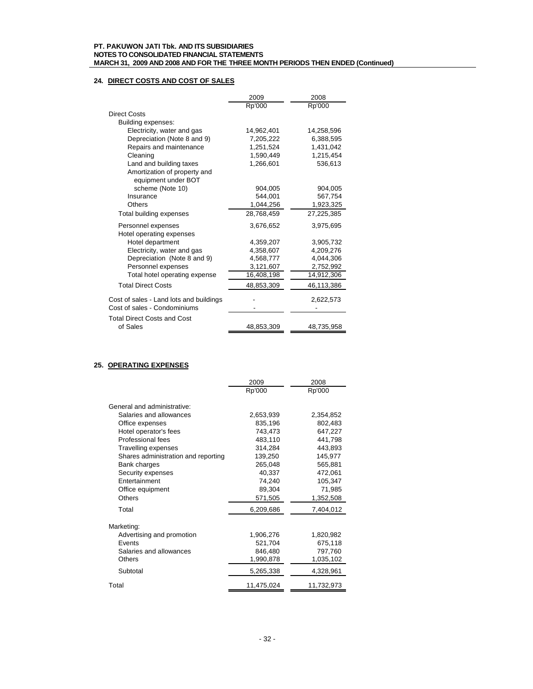# **24. DIRECT COSTS AND COST OF SALES**

|                                         | 2009       | 2008       |
|-----------------------------------------|------------|------------|
|                                         | Rp'000     | Rp'000     |
| <b>Direct Costs</b>                     |            |            |
| Building expenses:                      |            |            |
| Electricity, water and gas              | 14,962,401 | 14,258,596 |
| Depreciation (Note 8 and 9)             | 7,205,222  | 6,388,595  |
| Repairs and maintenance                 | 1,251,524  | 1,431,042  |
| Cleaning                                | 1.590.449  | 1.215.454  |
| Land and building taxes                 | 1,266,601  | 536,613    |
| Amortization of property and            |            |            |
| equipment under BOT                     |            |            |
| scheme (Note 10)                        | 904.005    | 904.005    |
| Insurance                               | 544,001    | 567,754    |
| Others                                  | 1,044,256  | 1,923,325  |
| Total building expenses                 | 28,768,459 | 27,225,385 |
| Personnel expenses                      | 3,676,652  | 3,975,695  |
| Hotel operating expenses                |            |            |
| Hotel department                        | 4,359,207  | 3,905,732  |
| Electricity, water and gas              | 4,358,607  | 4.209.276  |
| Depreciation (Note 8 and 9)             | 4,568,777  | 4,044,306  |
| Personnel expenses                      | 3,121,607  | 2,752,992  |
| Total hotel operating expense           | 16,408,198 | 14,912,306 |
| <b>Total Direct Costs</b>               | 48,853,309 | 46,113,386 |
| Cost of sales - Land lots and buildings |            | 2,622,573  |
| Cost of sales - Condominiums            |            |            |
| <b>Total Direct Costs and Cost</b>      |            |            |
| of Sales                                | 48,853,309 | 48,735,958 |

## **25. OPERATING EXPENSES**

|                                                                                                                                                                                                                                                                           | 2009                                                                                                                 | 2008                                                                                                                     |
|---------------------------------------------------------------------------------------------------------------------------------------------------------------------------------------------------------------------------------------------------------------------------|----------------------------------------------------------------------------------------------------------------------|--------------------------------------------------------------------------------------------------------------------------|
|                                                                                                                                                                                                                                                                           | Rp'000                                                                                                               | Rp'000                                                                                                                   |
| General and administrative:<br>Salaries and allowances<br>Office expenses<br>Hotel operator's fees<br>Professional fees<br>Travelling expenses<br>Shares administration and reporting<br>Bank charges<br>Security expenses<br>Entertainment<br>Office equipment<br>Others | 2,653,939<br>835,196<br>743,473<br>483,110<br>314,284<br>139,250<br>265,048<br>40,337<br>74,240<br>89,304<br>571,505 | 2,354,852<br>802.483<br>647,227<br>441,798<br>443,893<br>145,977<br>565,881<br>472.061<br>105,347<br>71,985<br>1,352,508 |
| Total                                                                                                                                                                                                                                                                     | 6,209,686                                                                                                            | 7,404,012                                                                                                                |
| Marketing:<br>Advertising and promotion<br><b>Fvents</b><br>Salaries and allowances<br>Others<br>Subtotal                                                                                                                                                                 | 1,906,276<br>521,704<br>846,480<br>1,990,878<br>5,265,338                                                            | 1,820,982<br>675,118<br>797,760<br>1,035,102<br>4,328,961                                                                |
| Total                                                                                                                                                                                                                                                                     | 11,475,024                                                                                                           | 11,732,973                                                                                                               |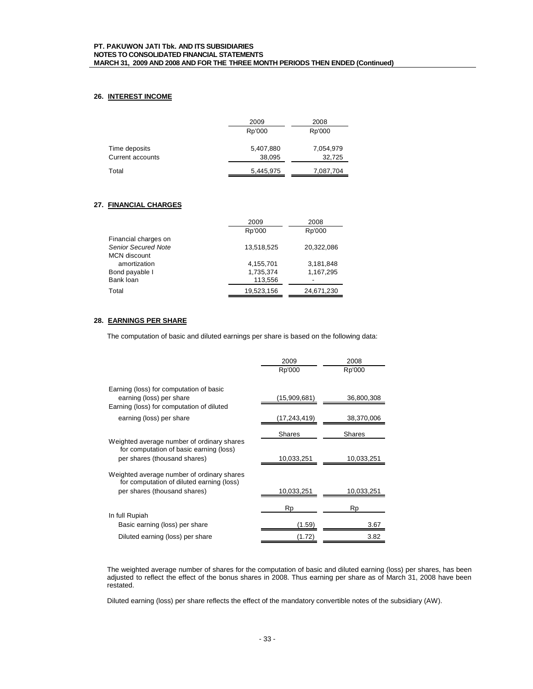## **26. INTEREST INCOME**

|                  | 2009      | 2008      |
|------------------|-----------|-----------|
|                  | Rp'000    | Rp'000    |
| Time deposits    | 5,407,880 | 7,054,979 |
|                  |           |           |
| Current accounts | 38,095    | 32,725    |
| Total            | 5,445,975 | 7,087,704 |

## **27. FINANCIAL CHARGES**

|                            | 2009       | 2008       |
|----------------------------|------------|------------|
|                            | Rp'000     | Rp'000     |
| Financial charges on       |            |            |
| <b>Senior Secured Note</b> | 13,518,525 | 20.322.086 |
| <b>MCN</b> discount        |            |            |
| amortization               | 4,155,701  | 3,181,848  |
| Bond payable I             | 1,735,374  | 1,167,295  |
| Bank loan                  | 113,556    | ۰          |
| Total                      | 19,523,156 | 24,671,230 |

# **28. EARNINGS PER SHARE**

The computation of basic and diluted earnings per share is based on the following data:

|                                                                                         | 2009          | 2008          |
|-----------------------------------------------------------------------------------------|---------------|---------------|
|                                                                                         | Rp'000        | Rp'000        |
| Earning (loss) for computation of basic<br>earning (loss) per share                     | (15,909,681)  | 36,800,308    |
| Earning (loss) for computation of diluted                                               |               |               |
| earning (loss) per share                                                                | (17,243,419)  | 38,370,006    |
|                                                                                         | <b>Shares</b> | <b>Shares</b> |
| Weighted average number of ordinary shares<br>for computation of basic earning (loss)   |               |               |
| per shares (thousand shares)                                                            | 10,033,251    | 10,033,251    |
| Weighted average number of ordinary shares<br>for computation of diluted earning (loss) |               |               |
| per shares (thousand shares)                                                            | 10,033,251    | 10,033,251    |
|                                                                                         | Rp            | Rp            |
| In full Rupiah                                                                          |               |               |
| Basic earning (loss) per share                                                          | (1.59)        | 3.67          |
| Diluted earning (loss) per share                                                        | (1.72)        | 3.82          |

The weighted average number of shares for the computation of basic and diluted earning (loss) per shares, has been adjusted to reflect the effect of the bonus shares in 2008. Thus earning per share as of March 31, 2008 have been restated.

Diluted earning (loss) per share reflects the effect of the mandatory convertible notes of the subsidiary (AW).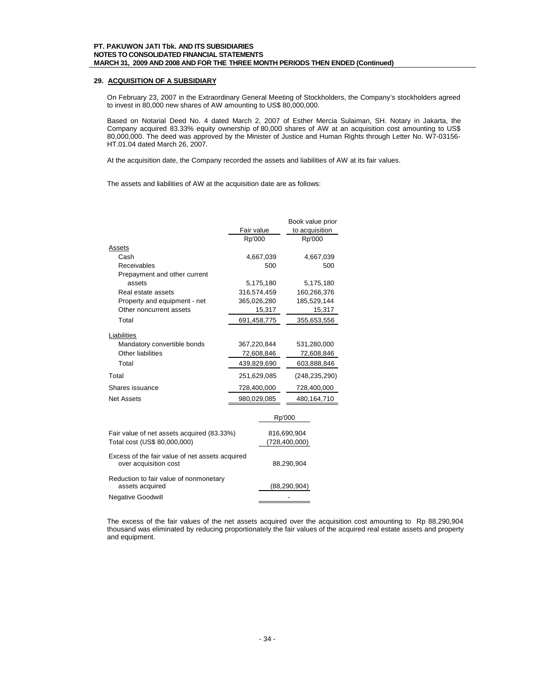## **29. ACQUISITION OF A SUBSIDIARY**

On February 23, 2007 in the Extraordinary General Meeting of Stockholders, the Company's stockholders agreed to invest in 80,000 new shares of AW amounting to US\$ 80,000,000.

Based on Notarial Deed No. 4 dated March 2, 2007 of Esther Mercia Sulaiman, SH. Notary in Jakarta, the Company acquired 83.33% equity ownership of 80,000 shares of AW at an acquisition cost amounting to US\$ 80,000,000. The deed was approved by the Minister of Justice and Human Rights through Letter No. W7-03156- HT.01.04 dated March 26, 2007.

At the acquisition date, the Company recorded the assets and liabilities of AW at its fair values.

The assets and liabilities of AW at the acquisition date are as follows:

|                                                 |             | Book value prior |
|-------------------------------------------------|-------------|------------------|
|                                                 | Fair value  | to acquisition   |
|                                                 | Rp'000      | Rp'000           |
| Assets                                          |             |                  |
| Cash                                            | 4,667,039   | 4,667,039        |
| Receivables                                     | 500         | 500              |
| Prepayment and other current                    |             |                  |
| assets                                          | 5,175,180   | 5,175,180        |
| Real estate assets                              | 316,574,459 | 160,266,376      |
| Property and equipment - net                    | 365,026,280 | 185,529,144      |
| Other noncurrent assets                         | 15,317      | 15,317           |
| Total                                           | 691,458,775 | 355,653,556      |
| Liabilities                                     |             |                  |
| Mandatory convertible bonds                     | 367,220,844 | 531,280,000      |
| Other liabilities                               | 72,608,846  | 72,608,846       |
| Total                                           | 439,829,690 | 603,888,846      |
| Total                                           | 251,629,085 | (248, 235, 290)  |
| Shares issuance                                 | 728,400,000 | 728,400,000      |
| <b>Net Assets</b>                               | 980,029,085 | 480,164,710      |
|                                                 |             |                  |
|                                                 |             | Rp'000           |
| Fair value of net assets acquired (83.33%)      |             | 816,690,904      |
| Total cost (US\$ 80,000,000)                    |             | (728, 400, 000)  |
| Excess of the fair value of net assets acquired |             |                  |
| over acquisition cost                           |             | 88,290,904       |
| Reduction to fair value of nonmonetary          |             |                  |
| assets acquired                                 |             | (88, 290, 904)   |
| <b>Negative Goodwill</b>                        |             |                  |

The excess of the fair values of the net assets acquired over the acquisition cost amounting to Rp 88,290,904 thousand was eliminated by reducing proportionately the fair values of the acquired real estate assets and property and equipment.